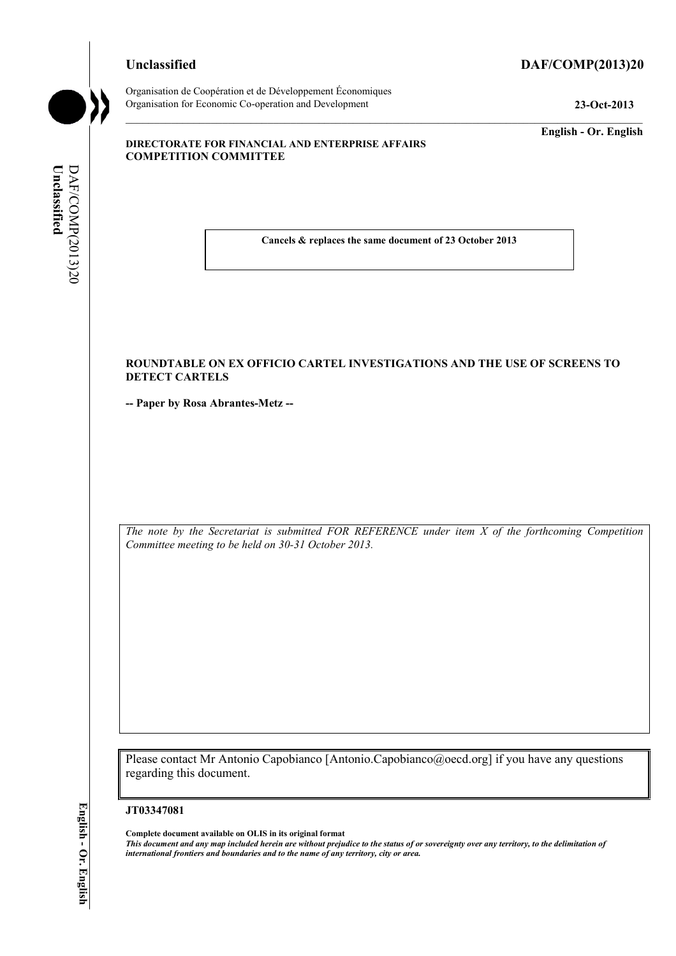# **Unclassified DAF/COMP(2013)20**

**Unclassified** 

Unclassified

DAF/COMP(2013)20

DAF/COMP(2013)20

Organisation de Coopération et de Développement Économiques Organisation for Economic Co-operation and Development **23-Oct-2013** 

**English - Or. English** 

#### **DIRECTORATE FOR FINANCIAL AND ENTERPRISE AFFAIRS COMPETITION COMMITTEE**

**Cancels & replaces the same document of 23 October 2013** 

#### **ROUNDTABLE ON EX OFFICIO CARTEL INVESTIGATIONS AND THE USE OF SCREENS TO DETECT CARTELS**

**-- Paper by Rosa Abrantes-Metz --** 

*The note by the Secretariat is submitted FOR REFERENCE under item X of the forthcoming Competition Committee meeting to be held on 30-31 October 2013.* 

Please contact Mr Antonio Capobianco [Antonio.Capobianco@oecd.org] if you have any questions regarding this document.

#### **JT03347081**

**Complete document available on OLIS in its original format** *This document and any map included herein are without prejudice to the status of or sovereignty over any territory, to the delimitation of international frontiers and boundaries and to the name of any territory, city or area.*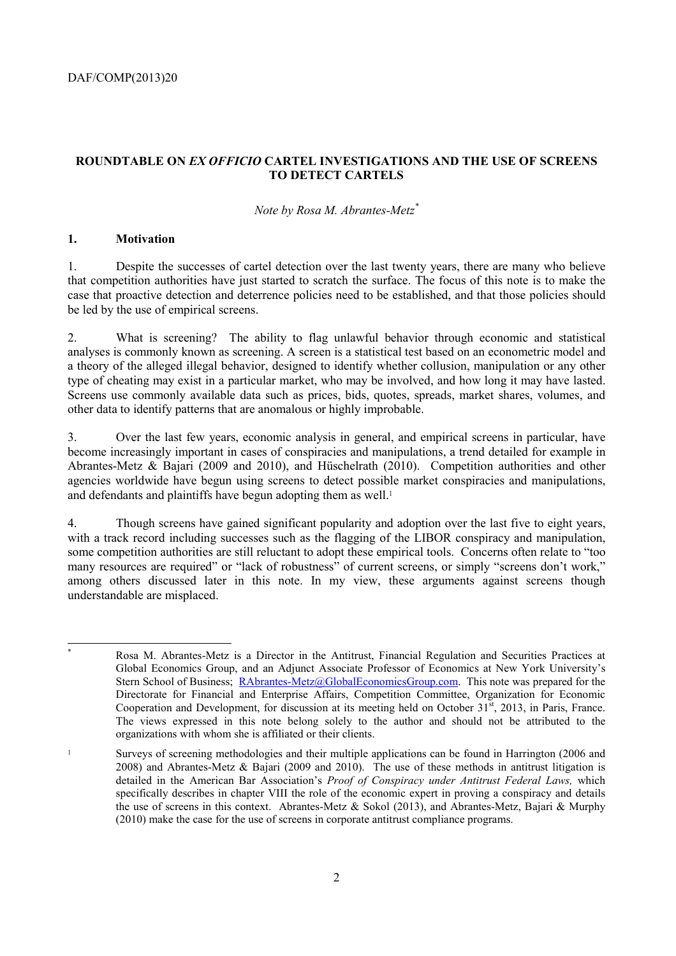## **ROUNDTABLE ON** *EX OFFICIO* **CARTEL INVESTIGATIONS AND THE USE OF SCREENS TO DETECT CARTELS**

#### *Note by Rosa M. Abrantes-Metz\**

#### **1. Motivation**

1. Despite the successes of cartel detection over the last twenty years, there are many who believe that competition authorities have just started to scratch the surface. The focus of this note is to make the case that proactive detection and deterrence policies need to be established, and that those policies should be led by the use of empirical screens.

2. What is screening? The ability to flag unlawful behavior through economic and statistical analyses is commonly known as screening. A screen is a statistical test based on an econometric model and a theory of the alleged illegal behavior, designed to identify whether collusion, manipulation or any other type of cheating may exist in a particular market, who may be involved, and how long it may have lasted. Screens use commonly available data such as prices, bids, quotes, spreads, market shares, volumes, and other data to identify patterns that are anomalous or highly improbable.

3. Over the last few years, economic analysis in general, and empirical screens in particular, have become increasingly important in cases of conspiracies and manipulations, a trend detailed for example in Abrantes-Metz & Bajari (2009 and 2010), and Hüschelrath (2010). Competition authorities and other agencies worldwide have begun using screens to detect possible market conspiracies and manipulations, and defendants and plaintiffs have begun adopting them as well.<sup>1</sup>

4. Though screens have gained significant popularity and adoption over the last five to eight years, with a track record including successes such as the flagging of the LIBOR conspiracy and manipulation, some competition authorities are still reluctant to adopt these empirical tools. Concerns often relate to "too many resources are required" or "lack of robustness" of current screens, or simply "screens don't work," among others discussed later in this note. In my view, these arguments against screens though understandable are misplaced.

 \* Rosa M. Abrantes-Metz is a Director in the Antitrust, Financial Regulation and Securities Practices at Global Economics Group, and an Adjunct Associate Professor of Economics at New York University's Stern School of Business; RAbrantes-Metz@GlobalEconomicsGroup.com. This note was prepared for the Directorate for Financial and Enterprise Affairs, Competition Committee, Organization for Economic Cooperation and Development, for discussion at its meeting held on October 31<sup>st</sup>, 2013, in Paris, France. The views expressed in this note belong solely to the author and should not be attributed to the organizations with whom she is affiliated or their clients.

<sup>&</sup>lt;sup>1</sup> Surveys of screening methodologies and their multiple applications can be found in Harrington (2006 and 2008) and Abrantes-Metz & Bajari (2009 and 2010). The use of these methods in antitrust litigation is detailed in the American Bar Association's *Proof of Conspiracy under Antitrust Federal Laws,* which specifically describes in chapter VIII the role of the economic expert in proving a conspiracy and details the use of screens in this context. Abrantes-Metz & Sokol (2013), and Abrantes-Metz, Bajari & Murphy (2010) make the case for the use of screens in corporate antitrust compliance programs.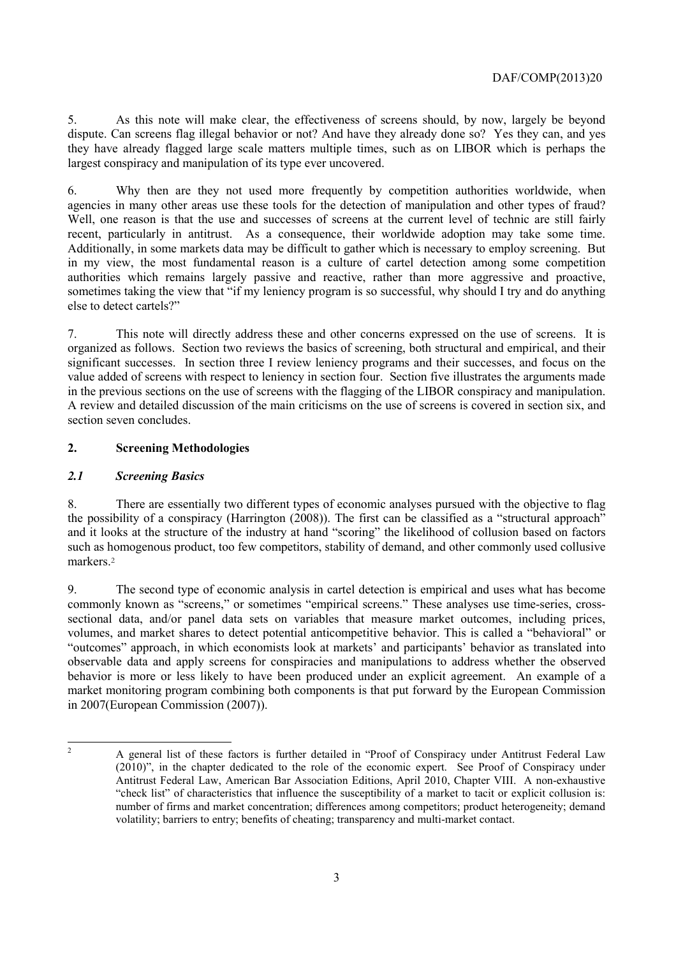5. As this note will make clear, the effectiveness of screens should, by now, largely be beyond dispute. Can screens flag illegal behavior or not? And have they already done so? Yes they can, and yes they have already flagged large scale matters multiple times, such as on LIBOR which is perhaps the largest conspiracy and manipulation of its type ever uncovered.

6. Why then are they not used more frequently by competition authorities worldwide, when agencies in many other areas use these tools for the detection of manipulation and other types of fraud? Well, one reason is that the use and successes of screens at the current level of technic are still fairly recent, particularly in antitrust. As a consequence, their worldwide adoption may take some time. Additionally, in some markets data may be difficult to gather which is necessary to employ screening. But in my view, the most fundamental reason is a culture of cartel detection among some competition authorities which remains largely passive and reactive, rather than more aggressive and proactive, sometimes taking the view that "if my leniency program is so successful, why should I try and do anything else to detect cartels?"

7. This note will directly address these and other concerns expressed on the use of screens. It is organized as follows. Section two reviews the basics of screening, both structural and empirical, and their significant successes. In section three I review leniency programs and their successes, and focus on the value added of screens with respect to leniency in section four. Section five illustrates the arguments made in the previous sections on the use of screens with the flagging of the LIBOR conspiracy and manipulation. A review and detailed discussion of the main criticisms on the use of screens is covered in section six, and section seven concludes.

# **2. Screening Methodologies**

## *2.1 Screening Basics*

8. There are essentially two different types of economic analyses pursued with the objective to flag the possibility of a conspiracy (Harrington (2008)). The first can be classified as a "structural approach" and it looks at the structure of the industry at hand "scoring" the likelihood of collusion based on factors such as homogenous product, too few competitors, stability of demand, and other commonly used collusive markers<sup>2</sup>

9. The second type of economic analysis in cartel detection is empirical and uses what has become commonly known as "screens," or sometimes "empirical screens." These analyses use time-series, crosssectional data, and/or panel data sets on variables that measure market outcomes, including prices, volumes, and market shares to detect potential anticompetitive behavior. This is called a "behavioral" or "outcomes" approach, in which economists look at markets' and participants' behavior as translated into observable data and apply screens for conspiracies and manipulations to address whether the observed behavior is more or less likely to have been produced under an explicit agreement. An example of a market monitoring program combining both components is that put forward by the European Commission in 2007(European Commission (2007)).

 $\frac{1}{2}$ 

A general list of these factors is further detailed in "Proof of Conspiracy under Antitrust Federal Law (2010)", in the chapter dedicated to the role of the economic expert. See Proof of Conspiracy under Antitrust Federal Law, American Bar Association Editions, April 2010, Chapter VIII. A non-exhaustive "check list" of characteristics that influence the susceptibility of a market to tacit or explicit collusion is: number of firms and market concentration; differences among competitors; product heterogeneity; demand volatility; barriers to entry; benefits of cheating; transparency and multi-market contact.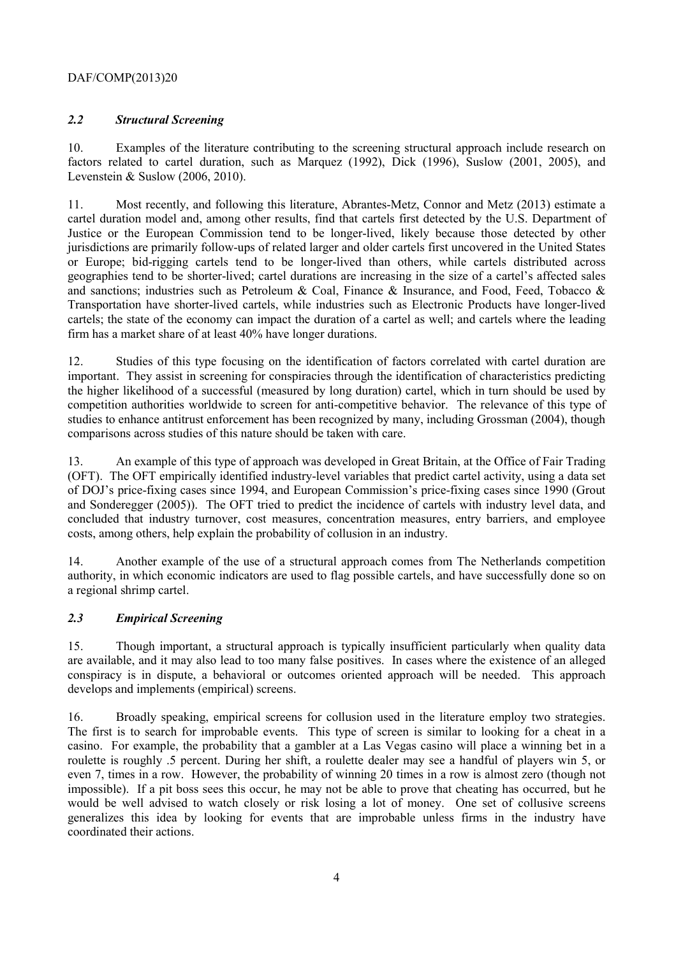## *2.2 Structural Screening*

10. Examples of the literature contributing to the screening structural approach include research on factors related to cartel duration, such as Marquez (1992), Dick (1996), Suslow (2001, 2005), and Levenstein & Suslow (2006, 2010).

11. Most recently, and following this literature, Abrantes-Metz, Connor and Metz (2013) estimate a cartel duration model and, among other results, find that cartels first detected by the U.S. Department of Justice or the European Commission tend to be longer-lived, likely because those detected by other jurisdictions are primarily follow-ups of related larger and older cartels first uncovered in the United States or Europe; bid-rigging cartels tend to be longer-lived than others, while cartels distributed across geographies tend to be shorter-lived; cartel durations are increasing in the size of a cartel's affected sales and sanctions; industries such as Petroleum & Coal, Finance & Insurance, and Food, Feed, Tobacco & Transportation have shorter-lived cartels, while industries such as Electronic Products have longer-lived cartels; the state of the economy can impact the duration of a cartel as well; and cartels where the leading firm has a market share of at least 40% have longer durations.

12. Studies of this type focusing on the identification of factors correlated with cartel duration are important. They assist in screening for conspiracies through the identification of characteristics predicting the higher likelihood of a successful (measured by long duration) cartel, which in turn should be used by competition authorities worldwide to screen for anti-competitive behavior. The relevance of this type of studies to enhance antitrust enforcement has been recognized by many, including Grossman (2004), though comparisons across studies of this nature should be taken with care.

13. An example of this type of approach was developed in Great Britain, at the Office of Fair Trading (OFT). The OFT empirically identified industry-level variables that predict cartel activity, using a data set of DOJ's price-fixing cases since 1994, and European Commission's price-fixing cases since 1990 (Grout and Sonderegger (2005)). The OFT tried to predict the incidence of cartels with industry level data, and concluded that industry turnover, cost measures, concentration measures, entry barriers, and employee costs, among others, help explain the probability of collusion in an industry.

14. Another example of the use of a structural approach comes from The Netherlands competition authority, in which economic indicators are used to flag possible cartels, and have successfully done so on a regional shrimp cartel.

# *2.3 Empirical Screening*

15. Though important, a structural approach is typically insufficient particularly when quality data are available, and it may also lead to too many false positives. In cases where the existence of an alleged conspiracy is in dispute, a behavioral or outcomes oriented approach will be needed. This approach develops and implements (empirical) screens.

16. Broadly speaking, empirical screens for collusion used in the literature employ two strategies. The first is to search for improbable events. This type of screen is similar to looking for a cheat in a casino. For example, the probability that a gambler at a Las Vegas casino will place a winning bet in a roulette is roughly .5 percent. During her shift, a roulette dealer may see a handful of players win 5, or even 7, times in a row. However, the probability of winning 20 times in a row is almost zero (though not impossible). If a pit boss sees this occur, he may not be able to prove that cheating has occurred, but he would be well advised to watch closely or risk losing a lot of money. One set of collusive screens generalizes this idea by looking for events that are improbable unless firms in the industry have coordinated their actions.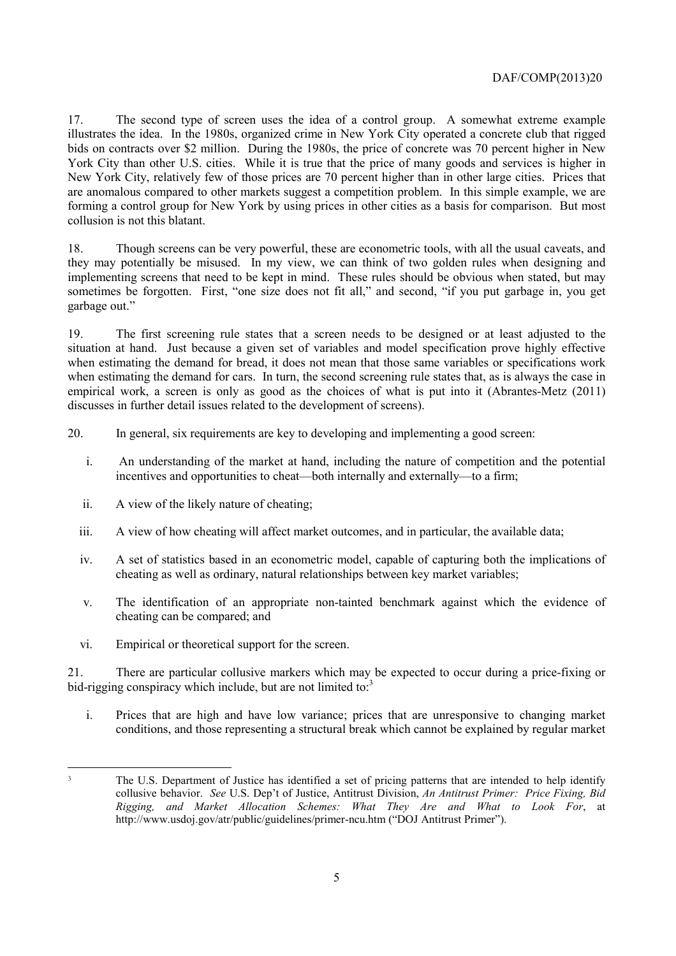17. The second type of screen uses the idea of a control group. A somewhat extreme example illustrates the idea. In the 1980s, organized crime in New York City operated a concrete club that rigged bids on contracts over \$2 million. During the 1980s, the price of concrete was 70 percent higher in New York City than other U.S. cities. While it is true that the price of many goods and services is higher in New York City, relatively few of those prices are 70 percent higher than in other large cities. Prices that are anomalous compared to other markets suggest a competition problem. In this simple example, we are forming a control group for New York by using prices in other cities as a basis for comparison. But most collusion is not this blatant.

18. Though screens can be very powerful, these are econometric tools, with all the usual caveats, and they may potentially be misused. In my view, we can think of two golden rules when designing and implementing screens that need to be kept in mind. These rules should be obvious when stated, but may sometimes be forgotten. First, "one size does not fit all," and second, "if you put garbage in, you get garbage out."

19. The first screening rule states that a screen needs to be designed or at least adjusted to the situation at hand. Just because a given set of variables and model specification prove highly effective when estimating the demand for bread, it does not mean that those same variables or specifications work when estimating the demand for cars. In turn, the second screening rule states that, as is always the case in empirical work, a screen is only as good as the choices of what is put into it (Abrantes-Metz (2011) discusses in further detail issues related to the development of screens).

20. In general, six requirements are key to developing and implementing a good screen:

- i. An understanding of the market at hand, including the nature of competition and the potential incentives and opportunities to cheat—both internally and externally—to a firm;
- ii. A view of the likely nature of cheating;
- iii. A view of how cheating will affect market outcomes, and in particular, the available data;
- iv. A set of statistics based in an econometric model, capable of capturing both the implications of cheating as well as ordinary, natural relationships between key market variables;
- v. The identification of an appropriate non-tainted benchmark against which the evidence of cheating can be compared; and
- vi. Empirical or theoretical support for the screen.

21. There are particular collusive markers which may be expected to occur during a price-fixing or bid-rigging conspiracy which include, but are not limited to: $3$ 

i. Prices that are high and have low variance; prices that are unresponsive to changing market conditions, and those representing a structural break which cannot be explained by regular market

 <sup>3</sup> The U.S. Department of Justice has identified a set of pricing patterns that are intended to help identify collusive behavior. *See* U.S. Dep't of Justice, Antitrust Division, *An Antitrust Primer: Price Fixing, Bid Rigging, and Market Allocation Schemes: What They Are and What to Look For*, at http://www.usdoj.gov/atr/public/guidelines/primer-ncu.htm ("DOJ Antitrust Primer").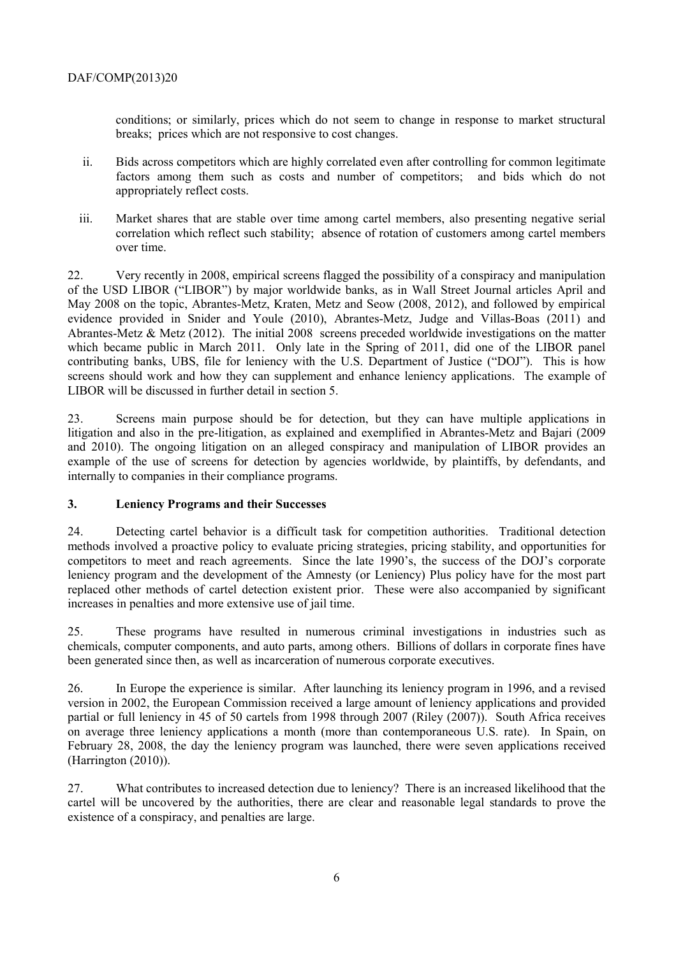conditions; or similarly, prices which do not seem to change in response to market structural breaks; prices which are not responsive to cost changes.

- ii. Bids across competitors which are highly correlated even after controlling for common legitimate factors among them such as costs and number of competitors; and bids which do not appropriately reflect costs.
- iii. Market shares that are stable over time among cartel members, also presenting negative serial correlation which reflect such stability; absence of rotation of customers among cartel members over time.

22. Very recently in 2008, empirical screens flagged the possibility of a conspiracy and manipulation of the USD LIBOR ("LIBOR") by major worldwide banks, as in Wall Street Journal articles April and May 2008 on the topic, Abrantes-Metz, Kraten, Metz and Seow (2008, 2012), and followed by empirical evidence provided in Snider and Youle (2010), Abrantes-Metz, Judge and Villas-Boas (2011) and Abrantes-Metz & Metz (2012). The initial 2008 screens preceded worldwide investigations on the matter which became public in March 2011. Only late in the Spring of 2011, did one of the LIBOR panel contributing banks, UBS, file for leniency with the U.S. Department of Justice ("DOJ"). This is how screens should work and how they can supplement and enhance leniency applications. The example of LIBOR will be discussed in further detail in section 5.

23. Screens main purpose should be for detection, but they can have multiple applications in litigation and also in the pre-litigation, as explained and exemplified in Abrantes-Metz and Bajari (2009 and 2010). The ongoing litigation on an alleged conspiracy and manipulation of LIBOR provides an example of the use of screens for detection by agencies worldwide, by plaintiffs, by defendants, and internally to companies in their compliance programs.

## **3. Leniency Programs and their Successes**

24. Detecting cartel behavior is a difficult task for competition authorities. Traditional detection methods involved a proactive policy to evaluate pricing strategies, pricing stability, and opportunities for competitors to meet and reach agreements. Since the late 1990's, the success of the DOJ's corporate leniency program and the development of the Amnesty (or Leniency) Plus policy have for the most part replaced other methods of cartel detection existent prior. These were also accompanied by significant increases in penalties and more extensive use of jail time.

25. These programs have resulted in numerous criminal investigations in industries such as chemicals, computer components, and auto parts, among others. Billions of dollars in corporate fines have been generated since then, as well as incarceration of numerous corporate executives.

26. In Europe the experience is similar. After launching its leniency program in 1996, and a revised version in 2002, the European Commission received a large amount of leniency applications and provided partial or full leniency in 45 of 50 cartels from 1998 through 2007 (Riley (2007)). South Africa receives on average three leniency applications a month (more than contemporaneous U.S. rate). In Spain, on February 28, 2008, the day the leniency program was launched, there were seven applications received (Harrington (2010)).

27. What contributes to increased detection due to leniency? There is an increased likelihood that the cartel will be uncovered by the authorities, there are clear and reasonable legal standards to prove the existence of a conspiracy, and penalties are large.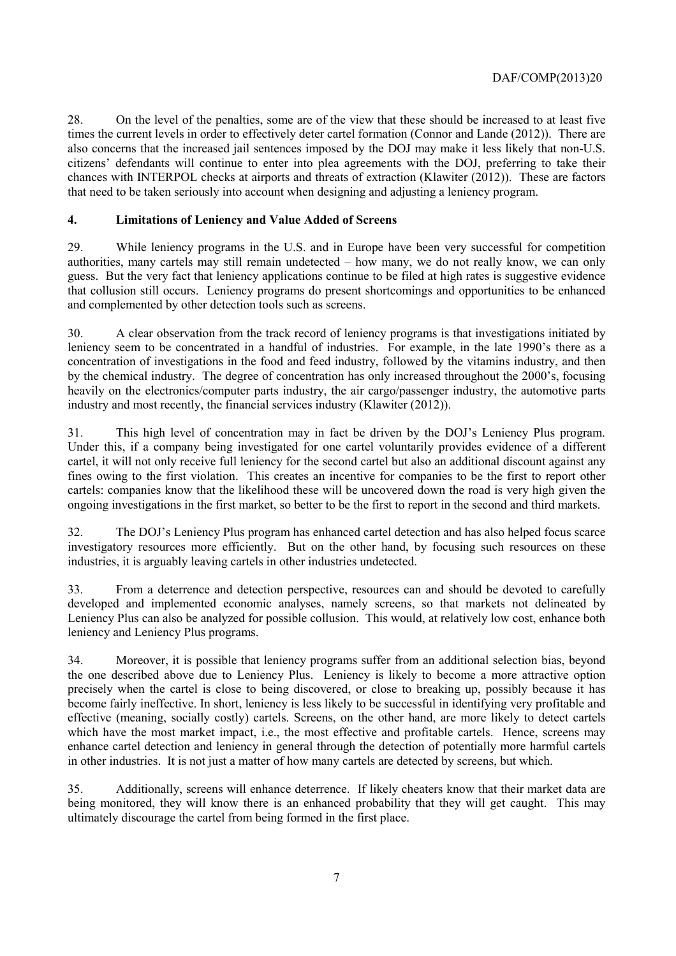28. On the level of the penalties, some are of the view that these should be increased to at least five times the current levels in order to effectively deter cartel formation (Connor and Lande (2012)). There are also concerns that the increased jail sentences imposed by the DOJ may make it less likely that non-U.S. citizens' defendants will continue to enter into plea agreements with the DOJ, preferring to take their chances with INTERPOL checks at airports and threats of extraction (Klawiter (2012)). These are factors that need to be taken seriously into account when designing and adjusting a leniency program.

## **4. Limitations of Leniency and Value Added of Screens**

29. While leniency programs in the U.S. and in Europe have been very successful for competition authorities, many cartels may still remain undetected – how many, we do not really know, we can only guess. But the very fact that leniency applications continue to be filed at high rates is suggestive evidence that collusion still occurs. Leniency programs do present shortcomings and opportunities to be enhanced and complemented by other detection tools such as screens.

30. A clear observation from the track record of leniency programs is that investigations initiated by leniency seem to be concentrated in a handful of industries. For example, in the late 1990's there as a concentration of investigations in the food and feed industry, followed by the vitamins industry, and then by the chemical industry. The degree of concentration has only increased throughout the 2000's, focusing heavily on the electronics/computer parts industry, the air cargo/passenger industry, the automotive parts industry and most recently, the financial services industry (Klawiter (2012)).

31. This high level of concentration may in fact be driven by the DOJ's Leniency Plus program. Under this, if a company being investigated for one cartel voluntarily provides evidence of a different cartel, it will not only receive full leniency for the second cartel but also an additional discount against any fines owing to the first violation. This creates an incentive for companies to be the first to report other cartels: companies know that the likelihood these will be uncovered down the road is very high given the ongoing investigations in the first market, so better to be the first to report in the second and third markets.

32. The DOJ's Leniency Plus program has enhanced cartel detection and has also helped focus scarce investigatory resources more efficiently. But on the other hand, by focusing such resources on these industries, it is arguably leaving cartels in other industries undetected.

33. From a deterrence and detection perspective, resources can and should be devoted to carefully developed and implemented economic analyses, namely screens, so that markets not delineated by Leniency Plus can also be analyzed for possible collusion. This would, at relatively low cost, enhance both leniency and Leniency Plus programs.

34. Moreover, it is possible that leniency programs suffer from an additional selection bias, beyond the one described above due to Leniency Plus. Leniency is likely to become a more attractive option precisely when the cartel is close to being discovered, or close to breaking up, possibly because it has become fairly ineffective. In short, leniency is less likely to be successful in identifying very profitable and effective (meaning, socially costly) cartels. Screens, on the other hand, are more likely to detect cartels which have the most market impact, i.e., the most effective and profitable cartels. Hence, screens may enhance cartel detection and leniency in general through the detection of potentially more harmful cartels in other industries. It is not just a matter of how many cartels are detected by screens, but which.

35. Additionally, screens will enhance deterrence. If likely cheaters know that their market data are being monitored, they will know there is an enhanced probability that they will get caught. This may ultimately discourage the cartel from being formed in the first place.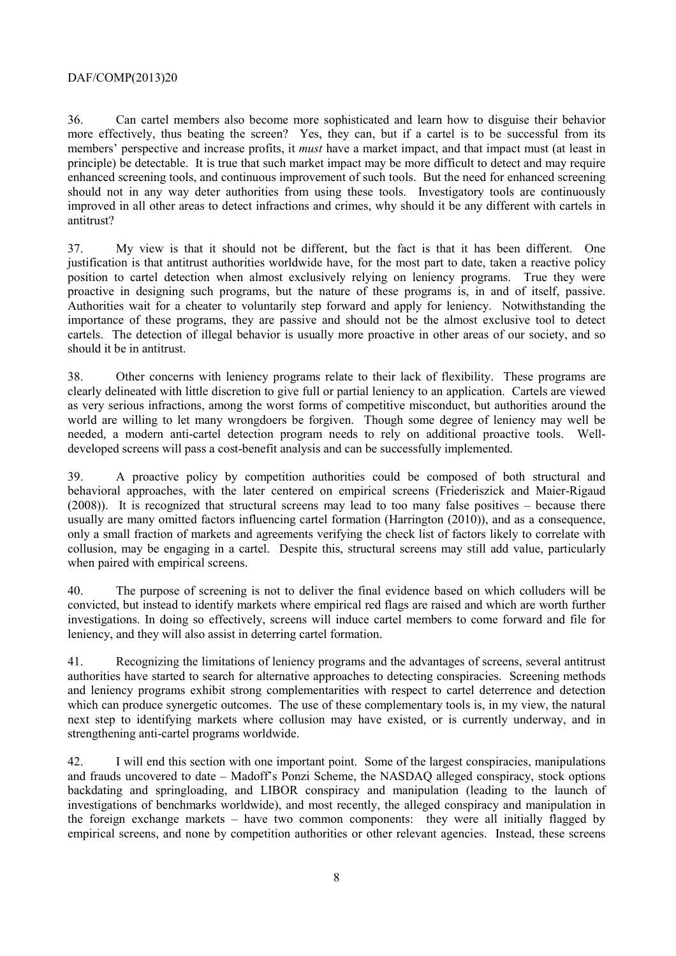36. Can cartel members also become more sophisticated and learn how to disguise their behavior more effectively, thus beating the screen? Yes, they can, but if a cartel is to be successful from its members' perspective and increase profits, it *must* have a market impact, and that impact must (at least in principle) be detectable. It is true that such market impact may be more difficult to detect and may require enhanced screening tools, and continuous improvement of such tools. But the need for enhanced screening should not in any way deter authorities from using these tools. Investigatory tools are continuously improved in all other areas to detect infractions and crimes, why should it be any different with cartels in antitrust?

37. My view is that it should not be different, but the fact is that it has been different. One justification is that antitrust authorities worldwide have, for the most part to date, taken a reactive policy position to cartel detection when almost exclusively relying on leniency programs. True they were proactive in designing such programs, but the nature of these programs is, in and of itself, passive. Authorities wait for a cheater to voluntarily step forward and apply for leniency. Notwithstanding the importance of these programs, they are passive and should not be the almost exclusive tool to detect cartels. The detection of illegal behavior is usually more proactive in other areas of our society, and so should it be in antitrust.

38. Other concerns with leniency programs relate to their lack of flexibility. These programs are clearly delineated with little discretion to give full or partial leniency to an application. Cartels are viewed as very serious infractions, among the worst forms of competitive misconduct, but authorities around the world are willing to let many wrongdoers be forgiven. Though some degree of leniency may well be needed, a modern anti-cartel detection program needs to rely on additional proactive tools. Welldeveloped screens will pass a cost-benefit analysis and can be successfully implemented.

39. A proactive policy by competition authorities could be composed of both structural and behavioral approaches, with the later centered on empirical screens (Friederiszick and Maier-Rigaud (2008)). It is recognized that structural screens may lead to too many false positives – because there usually are many omitted factors influencing cartel formation (Harrington (2010)), and as a consequence, only a small fraction of markets and agreements verifying the check list of factors likely to correlate with collusion, may be engaging in a cartel. Despite this, structural screens may still add value, particularly when paired with empirical screens.

40. The purpose of screening is not to deliver the final evidence based on which colluders will be convicted, but instead to identify markets where empirical red flags are raised and which are worth further investigations. In doing so effectively, screens will induce cartel members to come forward and file for leniency, and they will also assist in deterring cartel formation.

41. Recognizing the limitations of leniency programs and the advantages of screens, several antitrust authorities have started to search for alternative approaches to detecting conspiracies. Screening methods and leniency programs exhibit strong complementarities with respect to cartel deterrence and detection which can produce synergetic outcomes. The use of these complementary tools is, in my view, the natural next step to identifying markets where collusion may have existed, or is currently underway, and in strengthening anti-cartel programs worldwide.

42. I will end this section with one important point. Some of the largest conspiracies, manipulations and frauds uncovered to date – Madoff's Ponzi Scheme, the NASDAQ alleged conspiracy, stock options backdating and springloading, and LIBOR conspiracy and manipulation (leading to the launch of investigations of benchmarks worldwide), and most recently, the alleged conspiracy and manipulation in the foreign exchange markets – have two common components: they were all initially flagged by empirical screens, and none by competition authorities or other relevant agencies. Instead, these screens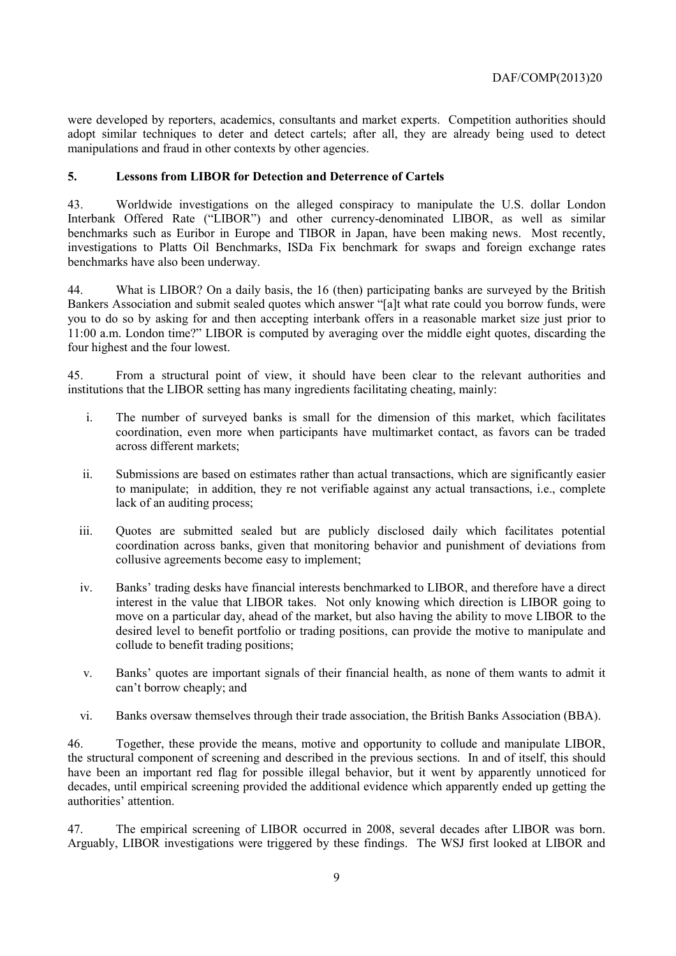were developed by reporters, academics, consultants and market experts. Competition authorities should adopt similar techniques to deter and detect cartels; after all, they are already being used to detect manipulations and fraud in other contexts by other agencies.

## **5. Lessons from LIBOR for Detection and Deterrence of Cartels**

43. Worldwide investigations on the alleged conspiracy to manipulate the U.S. dollar London Interbank Offered Rate ("LIBOR") and other currency-denominated LIBOR, as well as similar benchmarks such as Euribor in Europe and TIBOR in Japan, have been making news. Most recently, investigations to Platts Oil Benchmarks, ISDa Fix benchmark for swaps and foreign exchange rates benchmarks have also been underway.

44. What is LIBOR? On a daily basis, the 16 (then) participating banks are surveyed by the British Bankers Association and submit sealed quotes which answer "[a]t what rate could you borrow funds, were you to do so by asking for and then accepting interbank offers in a reasonable market size just prior to 11:00 a.m. London time?" LIBOR is computed by averaging over the middle eight quotes, discarding the four highest and the four lowest.

45. From a structural point of view, it should have been clear to the relevant authorities and institutions that the LIBOR setting has many ingredients facilitating cheating, mainly:

- i. The number of surveyed banks is small for the dimension of this market, which facilitates coordination, even more when participants have multimarket contact, as favors can be traded across different markets;
- ii. Submissions are based on estimates rather than actual transactions, which are significantly easier to manipulate; in addition, they re not verifiable against any actual transactions, i.e., complete lack of an auditing process;
- iii. Quotes are submitted sealed but are publicly disclosed daily which facilitates potential coordination across banks, given that monitoring behavior and punishment of deviations from collusive agreements become easy to implement;
- iv. Banks' trading desks have financial interests benchmarked to LIBOR, and therefore have a direct interest in the value that LIBOR takes. Not only knowing which direction is LIBOR going to move on a particular day, ahead of the market, but also having the ability to move LIBOR to the desired level to benefit portfolio or trading positions, can provide the motive to manipulate and collude to benefit trading positions;
- v. Banks' quotes are important signals of their financial health, as none of them wants to admit it can't borrow cheaply; and
- vi. Banks oversaw themselves through their trade association, the British Banks Association (BBA).

46. Together, these provide the means, motive and opportunity to collude and manipulate LIBOR, the structural component of screening and described in the previous sections. In and of itself, this should have been an important red flag for possible illegal behavior, but it went by apparently unnoticed for decades, until empirical screening provided the additional evidence which apparently ended up getting the authorities' attention.

47. The empirical screening of LIBOR occurred in 2008, several decades after LIBOR was born. Arguably, LIBOR investigations were triggered by these findings. The WSJ first looked at LIBOR and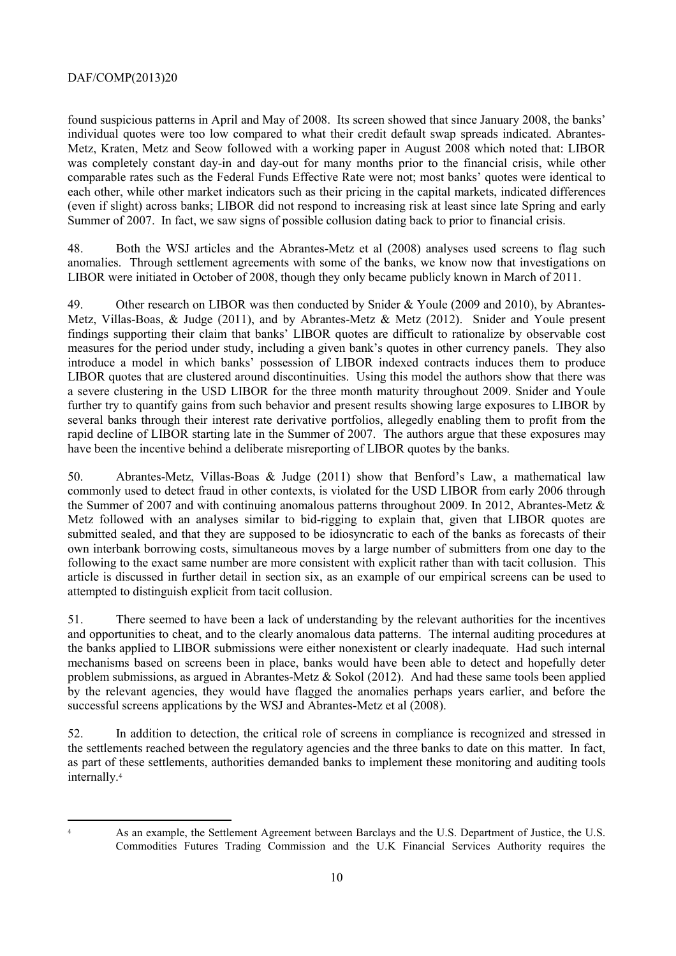found suspicious patterns in April and May of 2008. Its screen showed that since January 2008, the banks' individual quotes were too low compared to what their credit default swap spreads indicated. Abrantes-Metz, Kraten, Metz and Seow followed with a working paper in August 2008 which noted that: LIBOR was completely constant day-in and day-out for many months prior to the financial crisis, while other comparable rates such as the Federal Funds Effective Rate were not; most banks' quotes were identical to each other, while other market indicators such as their pricing in the capital markets, indicated differences (even if slight) across banks; LIBOR did not respond to increasing risk at least since late Spring and early Summer of 2007. In fact, we saw signs of possible collusion dating back to prior to financial crisis.

48. Both the WSJ articles and the Abrantes-Metz et al (2008) analyses used screens to flag such anomalies. Through settlement agreements with some of the banks, we know now that investigations on LIBOR were initiated in October of 2008, though they only became publicly known in March of 2011.

49. Other research on LIBOR was then conducted by Snider & Youle (2009 and 2010), by Abrantes-Metz, Villas-Boas, & Judge (2011), and by Abrantes-Metz & Metz (2012). Snider and Youle present findings supporting their claim that banks' LIBOR quotes are difficult to rationalize by observable cost measures for the period under study, including a given bank's quotes in other currency panels. They also introduce a model in which banks' possession of LIBOR indexed contracts induces them to produce LIBOR quotes that are clustered around discontinuities. Using this model the authors show that there was a severe clustering in the USD LIBOR for the three month maturity throughout 2009. Snider and Youle further try to quantify gains from such behavior and present results showing large exposures to LIBOR by several banks through their interest rate derivative portfolios, allegedly enabling them to profit from the rapid decline of LIBOR starting late in the Summer of 2007. The authors argue that these exposures may have been the incentive behind a deliberate misreporting of LIBOR quotes by the banks.

50. Abrantes-Metz, Villas-Boas & Judge (2011) show that Benford's Law, a mathematical law commonly used to detect fraud in other contexts, is violated for the USD LIBOR from early 2006 through the Summer of 2007 and with continuing anomalous patterns throughout 2009. In 2012, Abrantes-Metz & Metz followed with an analyses similar to bid-rigging to explain that, given that LIBOR quotes are submitted sealed, and that they are supposed to be idiosyncratic to each of the banks as forecasts of their own interbank borrowing costs, simultaneous moves by a large number of submitters from one day to the following to the exact same number are more consistent with explicit rather than with tacit collusion. This article is discussed in further detail in section six, as an example of our empirical screens can be used to attempted to distinguish explicit from tacit collusion.

51. There seemed to have been a lack of understanding by the relevant authorities for the incentives and opportunities to cheat, and to the clearly anomalous data patterns. The internal auditing procedures at the banks applied to LIBOR submissions were either nonexistent or clearly inadequate. Had such internal mechanisms based on screens been in place, banks would have been able to detect and hopefully deter problem submissions, as argued in Abrantes-Metz & Sokol (2012). And had these same tools been applied by the relevant agencies, they would have flagged the anomalies perhaps years earlier, and before the successful screens applications by the WSJ and Abrantes-Metz et al (2008).

52. In addition to detection, the critical role of screens in compliance is recognized and stressed in the settlements reached between the regulatory agencies and the three banks to date on this matter. In fact, as part of these settlements, authorities demanded banks to implement these monitoring and auditing tools internally.<sup>4</sup>

<sup>4</sup> As an example, the Settlement Agreement between Barclays and the U.S. Department of Justice, the U.S. Commodities Futures Trading Commission and the U.K Financial Services Authority requires the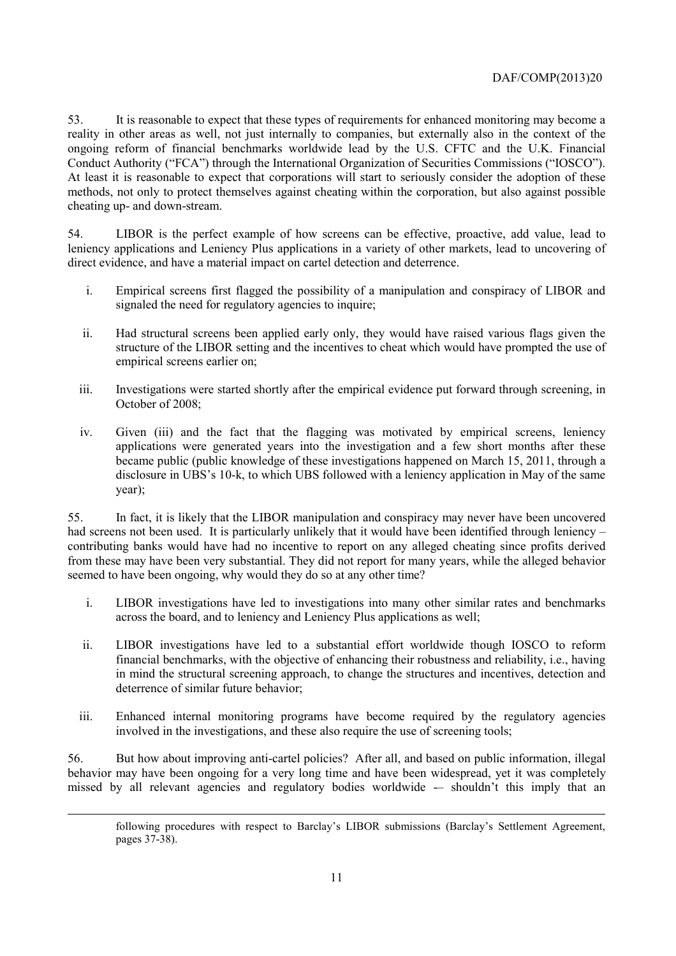53. It is reasonable to expect that these types of requirements for enhanced monitoring may become a reality in other areas as well, not just internally to companies, but externally also in the context of the ongoing reform of financial benchmarks worldwide lead by the U.S. CFTC and the U.K. Financial Conduct Authority ("FCA") through the International Organization of Securities Commissions ("IOSCO"). At least it is reasonable to expect that corporations will start to seriously consider the adoption of these methods, not only to protect themselves against cheating within the corporation, but also against possible cheating up- and down-stream.

54. LIBOR is the perfect example of how screens can be effective, proactive, add value, lead to leniency applications and Leniency Plus applications in a variety of other markets, lead to uncovering of direct evidence, and have a material impact on cartel detection and deterrence.

- i. Empirical screens first flagged the possibility of a manipulation and conspiracy of LIBOR and signaled the need for regulatory agencies to inquire;
- ii. Had structural screens been applied early only, they would have raised various flags given the structure of the LIBOR setting and the incentives to cheat which would have prompted the use of empirical screens earlier on;
- iii. Investigations were started shortly after the empirical evidence put forward through screening, in October of 2008;
- iv. Given (iii) and the fact that the flagging was motivated by empirical screens, leniency applications were generated years into the investigation and a few short months after these became public (public knowledge of these investigations happened on March 15, 2011, through a disclosure in UBS's 10-k, to which UBS followed with a leniency application in May of the same year);

55. In fact, it is likely that the LIBOR manipulation and conspiracy may never have been uncovered had screens not been used. It is particularly unlikely that it would have been identified through leniency – contributing banks would have had no incentive to report on any alleged cheating since profits derived from these may have been very substantial. They did not report for many years, while the alleged behavior seemed to have been ongoing, why would they do so at any other time?

- i. LIBOR investigations have led to investigations into many other similar rates and benchmarks across the board, and to leniency and Leniency Plus applications as well;
- ii. LIBOR investigations have led to a substantial effort worldwide though IOSCO to reform financial benchmarks, with the objective of enhancing their robustness and reliability, i.e., having in mind the structural screening approach, to change the structures and incentives, detection and deterrence of similar future behavior;
- iii. Enhanced internal monitoring programs have become required by the regulatory agencies involved in the investigations, and these also require the use of screening tools;

56. But how about improving anti-cartel policies? After all, and based on public information, illegal behavior may have been ongoing for a very long time and have been widespread, yet it was completely missed by all relevant agencies and regulatory bodies worldwide -- shouldn't this imply that an

1

following procedures with respect to Barclay's LIBOR submissions (Barclay's Settlement Agreement, pages 37-38).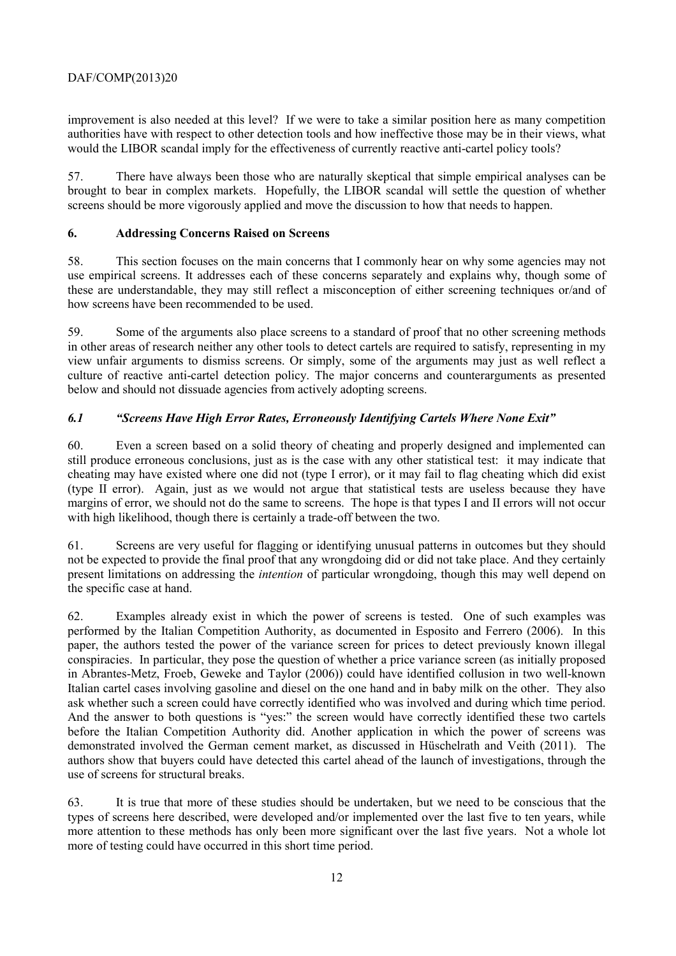improvement is also needed at this level? If we were to take a similar position here as many competition authorities have with respect to other detection tools and how ineffective those may be in their views, what would the LIBOR scandal imply for the effectiveness of currently reactive anti-cartel policy tools?

57. There have always been those who are naturally skeptical that simple empirical analyses can be brought to bear in complex markets. Hopefully, the LIBOR scandal will settle the question of whether screens should be more vigorously applied and move the discussion to how that needs to happen.

## **6. Addressing Concerns Raised on Screens**

58. This section focuses on the main concerns that I commonly hear on why some agencies may not use empirical screens. It addresses each of these concerns separately and explains why, though some of these are understandable, they may still reflect a misconception of either screening techniques or/and of how screens have been recommended to be used.

59. Some of the arguments also place screens to a standard of proof that no other screening methods in other areas of research neither any other tools to detect cartels are required to satisfy, representing in my view unfair arguments to dismiss screens. Or simply, some of the arguments may just as well reflect a culture of reactive anti-cartel detection policy. The major concerns and counterarguments as presented below and should not dissuade agencies from actively adopting screens.

# *6.1 "Screens Have High Error Rates, Erroneously Identifying Cartels Where None Exit"*

60. Even a screen based on a solid theory of cheating and properly designed and implemented can still produce erroneous conclusions, just as is the case with any other statistical test: it may indicate that cheating may have existed where one did not (type I error), or it may fail to flag cheating which did exist (type II error). Again, just as we would not argue that statistical tests are useless because they have margins of error, we should not do the same to screens. The hope is that types I and II errors will not occur with high likelihood, though there is certainly a trade-off between the two.

61. Screens are very useful for flagging or identifying unusual patterns in outcomes but they should not be expected to provide the final proof that any wrongdoing did or did not take place. And they certainly present limitations on addressing the *intention* of particular wrongdoing, though this may well depend on the specific case at hand.

62. Examples already exist in which the power of screens is tested. One of such examples was performed by the Italian Competition Authority, as documented in Esposito and Ferrero (2006). In this paper, the authors tested the power of the variance screen for prices to detect previously known illegal conspiracies. In particular, they pose the question of whether a price variance screen (as initially proposed in Abrantes-Metz, Froeb, Geweke and Taylor (2006)) could have identified collusion in two well-known Italian cartel cases involving gasoline and diesel on the one hand and in baby milk on the other. They also ask whether such a screen could have correctly identified who was involved and during which time period. And the answer to both questions is "yes:" the screen would have correctly identified these two cartels before the Italian Competition Authority did. Another application in which the power of screens was demonstrated involved the German cement market, as discussed in Hüschelrath and Veith (2011). The authors show that buyers could have detected this cartel ahead of the launch of investigations, through the use of screens for structural breaks.

63. It is true that more of these studies should be undertaken, but we need to be conscious that the types of screens here described, were developed and/or implemented over the last five to ten years, while more attention to these methods has only been more significant over the last five years. Not a whole lot more of testing could have occurred in this short time period.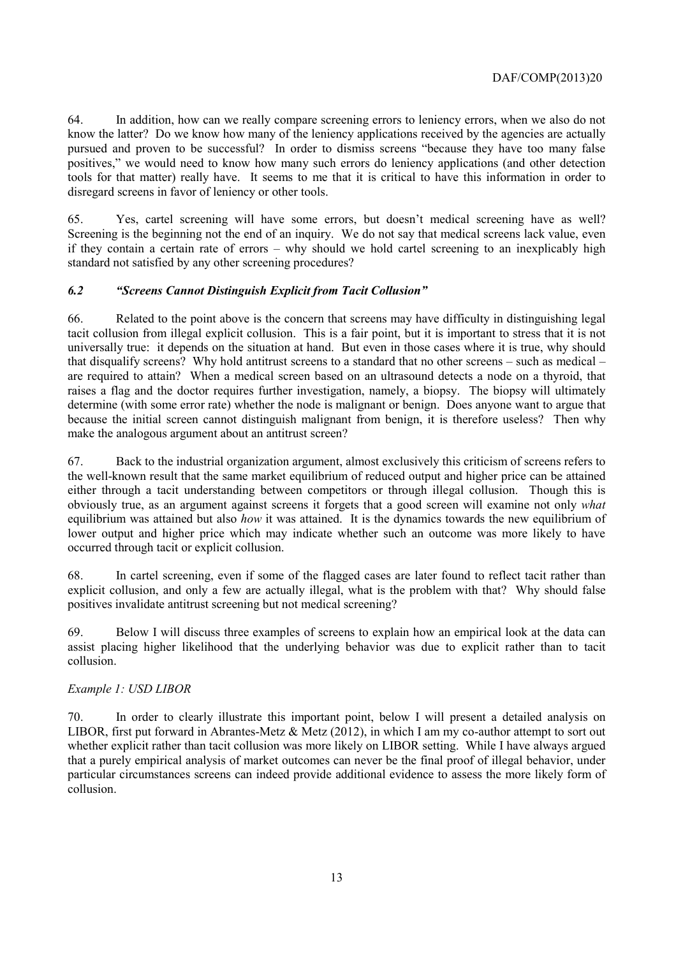64. In addition, how can we really compare screening errors to leniency errors, when we also do not know the latter? Do we know how many of the leniency applications received by the agencies are actually pursued and proven to be successful? In order to dismiss screens "because they have too many false positives," we would need to know how many such errors do leniency applications (and other detection tools for that matter) really have. It seems to me that it is critical to have this information in order to disregard screens in favor of leniency or other tools.

65. Yes, cartel screening will have some errors, but doesn't medical screening have as well? Screening is the beginning not the end of an inquiry. We do not say that medical screens lack value, even if they contain a certain rate of errors – why should we hold cartel screening to an inexplicably high standard not satisfied by any other screening procedures?

#### *6.2 "Screens Cannot Distinguish Explicit from Tacit Collusion"*

66. Related to the point above is the concern that screens may have difficulty in distinguishing legal tacit collusion from illegal explicit collusion. This is a fair point, but it is important to stress that it is not universally true: it depends on the situation at hand. But even in those cases where it is true, why should that disqualify screens? Why hold antitrust screens to a standard that no other screens – such as medical – are required to attain? When a medical screen based on an ultrasound detects a node on a thyroid, that raises a flag and the doctor requires further investigation, namely, a biopsy. The biopsy will ultimately determine (with some error rate) whether the node is malignant or benign. Does anyone want to argue that because the initial screen cannot distinguish malignant from benign, it is therefore useless? Then why make the analogous argument about an antitrust screen?

67. Back to the industrial organization argument, almost exclusively this criticism of screens refers to the well-known result that the same market equilibrium of reduced output and higher price can be attained either through a tacit understanding between competitors or through illegal collusion. Though this is obviously true, as an argument against screens it forgets that a good screen will examine not only *what* equilibrium was attained but also *how* it was attained. It is the dynamics towards the new equilibrium of lower output and higher price which may indicate whether such an outcome was more likely to have occurred through tacit or explicit collusion.

68. In cartel screening, even if some of the flagged cases are later found to reflect tacit rather than explicit collusion, and only a few are actually illegal, what is the problem with that? Why should false positives invalidate antitrust screening but not medical screening?

69. Below I will discuss three examples of screens to explain how an empirical look at the data can assist placing higher likelihood that the underlying behavior was due to explicit rather than to tacit collusion.

#### *Example 1: USD LIBOR*

70. In order to clearly illustrate this important point, below I will present a detailed analysis on LIBOR, first put forward in Abrantes-Metz  $&$  Metz (2012), in which I am my co-author attempt to sort out whether explicit rather than tacit collusion was more likely on LIBOR setting. While I have always argued that a purely empirical analysis of market outcomes can never be the final proof of illegal behavior, under particular circumstances screens can indeed provide additional evidence to assess the more likely form of collusion.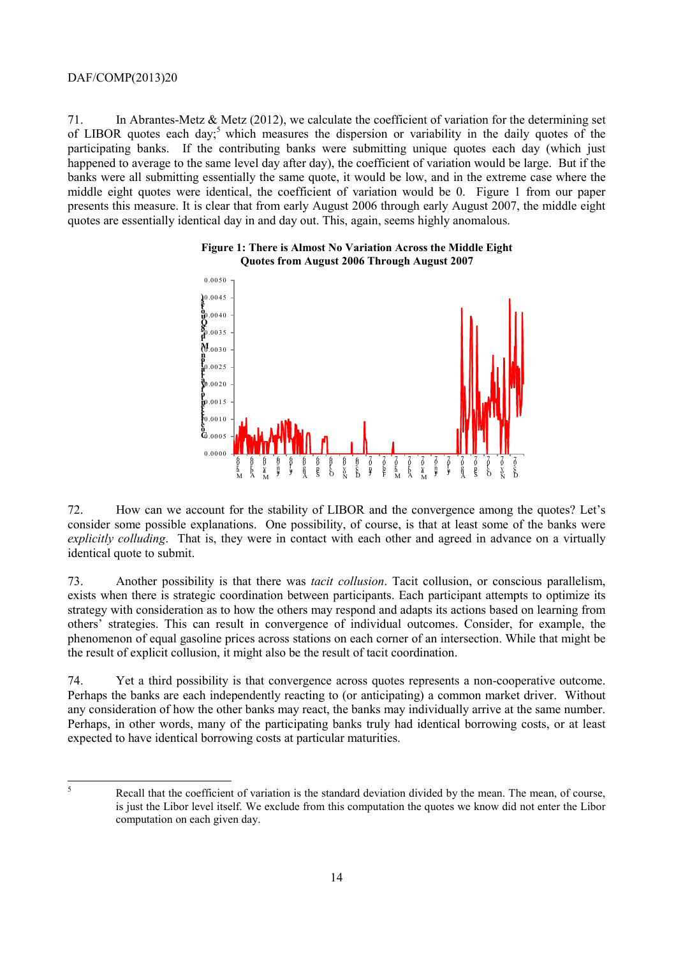71. In Abrantes-Metz & Metz (2012), we calculate the coefficient of variation for the determining set of LIBOR quotes each day;<sup>5</sup> which measures the dispersion or variability in the daily quotes of the participating banks. If the contributing banks were submitting unique quotes each day (which just happened to average to the same level day after day), the coefficient of variation would be large. But if the banks were all submitting essentially the same quote, it would be low, and in the extreme case where the middle eight quotes were identical, the coefficient of variation would be 0. Figure 1 from our paper presents this measure. It is clear that from early August 2006 through early August 2007, the middle eight quotes are essentially identical day in and day out. This, again, seems highly anomalous.





72. How can we account for the stability of LIBOR and the convergence among the quotes? Let's consider some possible explanations. One possibility, of course, is that at least some of the banks were *explicitly colluding*. That is, they were in contact with each other and agreed in advance on a virtually identical quote to submit.

73. Another possibility is that there was *tacit collusion*. Tacit collusion, or conscious parallelism, exists when there is strategic coordination between participants. Each participant attempts to optimize its strategy with consideration as to how the others may respond and adapts its actions based on learning from others' strategies. This can result in convergence of individual outcomes. Consider, for example, the phenomenon of equal gasoline prices across stations on each corner of an intersection. While that might be the result of explicit collusion, it might also be the result of tacit coordination.

74. Yet a third possibility is that convergence across quotes represents a non-cooperative outcome. Perhaps the banks are each independently reacting to (or anticipating) a common market driver. Without any consideration of how the other banks may react, the banks may individually arrive at the same number. Perhaps, in other words, many of the participating banks truly had identical borrowing costs, or at least expected to have identical borrowing costs at particular maturities.

5

Recall that the coefficient of variation is the standard deviation divided by the mean. The mean, of course, is just the Libor level itself. We exclude from this computation the quotes we know did not enter the Libor computation on each given day.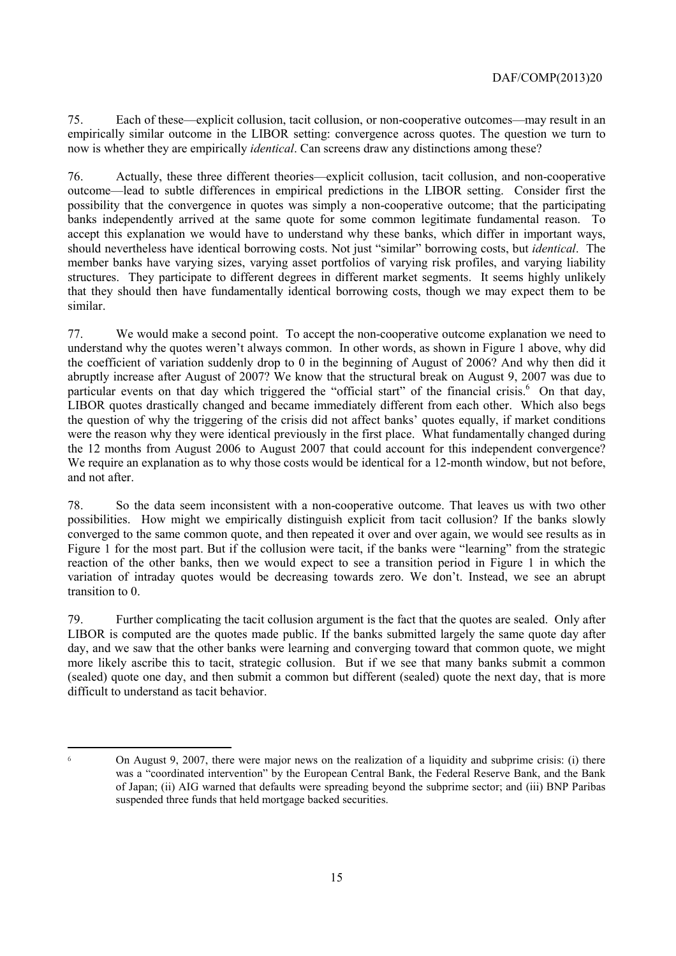75. Each of these—explicit collusion, tacit collusion, or non-cooperative outcomes—may result in an empirically similar outcome in the LIBOR setting: convergence across quotes. The question we turn to now is whether they are empirically *identical*. Can screens draw any distinctions among these?

76. Actually, these three different theories—explicit collusion, tacit collusion, and non-cooperative outcome—lead to subtle differences in empirical predictions in the LIBOR setting. Consider first the possibility that the convergence in quotes was simply a non-cooperative outcome; that the participating banks independently arrived at the same quote for some common legitimate fundamental reason. To accept this explanation we would have to understand why these banks, which differ in important ways, should nevertheless have identical borrowing costs. Not just "similar" borrowing costs, but *identical*. The member banks have varying sizes, varying asset portfolios of varying risk profiles, and varying liability structures. They participate to different degrees in different market segments. It seems highly unlikely that they should then have fundamentally identical borrowing costs, though we may expect them to be similar.

77. We would make a second point. To accept the non-cooperative outcome explanation we need to understand why the quotes weren't always common. In other words, as shown in Figure 1 above, why did the coefficient of variation suddenly drop to 0 in the beginning of August of 2006? And why then did it abruptly increase after August of 2007? We know that the structural break on August 9, 2007 was due to particular events on that day which triggered the "official start" of the financial crisis.<sup>6</sup> On that day, LIBOR quotes drastically changed and became immediately different from each other. Which also begs the question of why the triggering of the crisis did not affect banks' quotes equally, if market conditions were the reason why they were identical previously in the first place. What fundamentally changed during the 12 months from August 2006 to August 2007 that could account for this independent convergence? We require an explanation as to why those costs would be identical for a 12-month window, but not before, and not after.

78. So the data seem inconsistent with a non-cooperative outcome. That leaves us with two other possibilities. How might we empirically distinguish explicit from tacit collusion? If the banks slowly converged to the same common quote, and then repeated it over and over again, we would see results as in Figure 1 for the most part. But if the collusion were tacit, if the banks were "learning" from the strategic reaction of the other banks, then we would expect to see a transition period in Figure 1 in which the variation of intraday quotes would be decreasing towards zero. We don't. Instead, we see an abrupt transition to 0.

79. Further complicating the tacit collusion argument is the fact that the quotes are sealed. Only after LIBOR is computed are the quotes made public. If the banks submitted largely the same quote day after day, and we saw that the other banks were learning and converging toward that common quote, we might more likely ascribe this to tacit, strategic collusion. But if we see that many banks submit a common (sealed) quote one day, and then submit a common but different (sealed) quote the next day, that is more difficult to understand as tacit behavior.

 $\overline{a}$ <sup>6</sup> On August 9, 2007, there were major news on the realization of a liquidity and subprime crisis: (i) there was a "coordinated intervention" by the European Central Bank, the Federal Reserve Bank, and the Bank of Japan; (ii) AIG warned that defaults were spreading beyond the subprime sector; and (iii) BNP Paribas suspended three funds that held mortgage backed securities.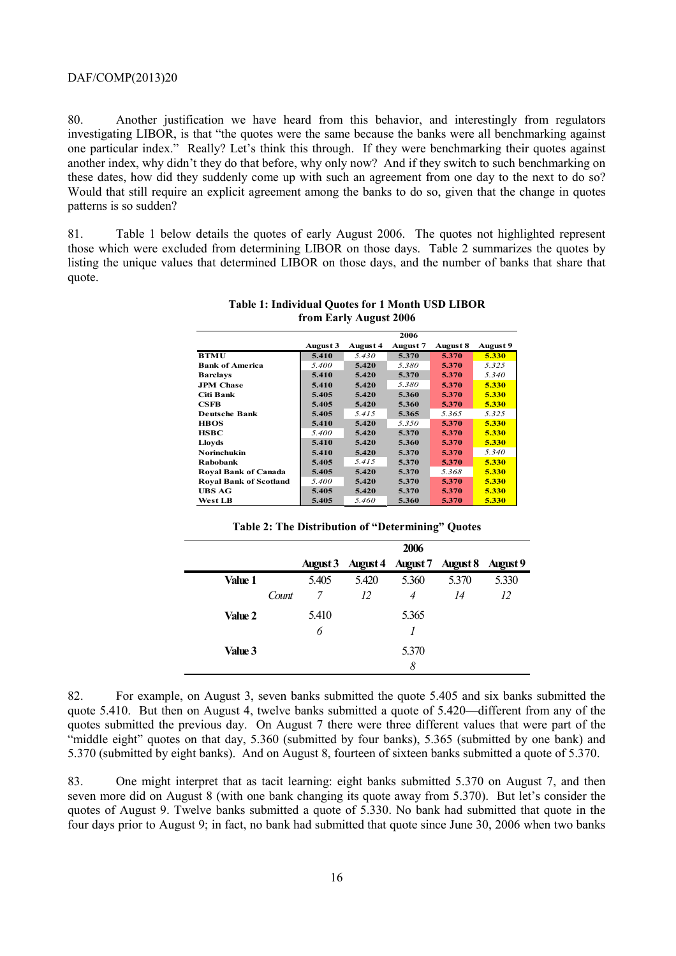80. Another justification we have heard from this behavior, and interestingly from regulators investigating LIBOR, is that "the quotes were the same because the banks were all benchmarking against one particular index." Really? Let's think this through. If they were benchmarking their quotes against another index, why didn't they do that before, why only now? And if they switch to such benchmarking on these dates, how did they suddenly come up with such an agreement from one day to the next to do so? Would that still require an explicit agreement among the banks to do so, given that the change in quotes patterns is so sudden?

81. Table 1 below details the quotes of early August 2006. The quotes not highlighted represent those which were excluded from determining LIBOR on those days. Table 2 summarizes the quotes by listing the unique values that determined LIBOR on those days, and the number of banks that share that quote.

|                               |          |          | 2006            |          |          |
|-------------------------------|----------|----------|-----------------|----------|----------|
|                               | August 3 | August 4 | <b>August 7</b> | August 8 | August 9 |
| <b>BTMU</b>                   | 5.410    | 5.430    | 5.370           | 5.370    | 5.330    |
| <b>Bank of America</b>        | 5.400    | 5.420    | 5.380           | 5.370    | 5.325    |
| <b>Barclays</b>               | 5.410    | 5.420    | 5.370           | 5.370    | 5.340    |
| <b>JPM</b> Chase              | 5.410    | 5.420    | 5.380           | 5.370    | 5.330    |
| Citi Bank                     | 5.405    | 5.420    | 5.360           | 5.370    | 5.330    |
| <b>CSFB</b>                   | 5.405    | 5.420    | 5.360           | 5.370    | 5.330    |
| <b>Deutsche Bank</b>          | 5.405    | 5.415    | 5.365           | 5.365    | 5.325    |
| <b>HBOS</b>                   | 5.410    | 5.420    | 5.350           | 5.370    | 5.330    |
| <b>HSBC</b>                   | 5.400    | 5.420    | 5.370           | 5.370    | 5.330    |
| Lloyds                        | 5.410    | 5.420    | 5.360           | 5.370    | 5.330    |
| Norinchukin                   | 5.410    | 5.420    | 5.370           | 5.370    | 5.340    |
| <b>Rabobank</b>               | 5.405    | 5.415    | 5.370           | 5.370    | 5.330    |
| <b>Roval Bank of Canada</b>   | 5.405    | 5.420    | 5.370           | 5.368    | 5.330    |
| <b>Royal Bank of Scotland</b> | 5.400    | 5.420    | 5.370           | 5.370    | 5.330    |
| UBS AG                        | 5.405    | 5.420    | 5.370           | 5.370    | 5.330    |
| <b>West LB</b>                | 5.405    | 5.460    | 5.360           | 5.370    | 5.330    |

**Table 1: Individual Quotes for 1 Month USD LIBOR from Early August 2006** 

| Table 2: The Distribution of "Determining" Quotes |  |  |  |
|---------------------------------------------------|--|--|--|
|---------------------------------------------------|--|--|--|

|                |       |                 |       | 2006                       |       |                 |
|----------------|-------|-----------------|-------|----------------------------|-------|-----------------|
|                |       | <b>August 3</b> |       | August 4 August 7 August 8 |       | <b>August</b> 9 |
| Value 1        |       | 5.405           | 5.420 | 5.360                      | 5.370 | 5.330           |
|                | Count | 7               | 12    | 4                          | 14    | 12              |
| Value 2        |       | 5.410           |       | 5.365                      |       |                 |
|                |       | 6               |       |                            |       |                 |
| <b>Value 3</b> |       |                 |       | 5.370                      |       |                 |
|                |       |                 |       | 8                          |       |                 |

82. For example, on August 3, seven banks submitted the quote 5.405 and six banks submitted the quote 5.410. But then on August 4, twelve banks submitted a quote of 5.420—different from any of the quotes submitted the previous day. On August 7 there were three different values that were part of the "middle eight" quotes on that day, 5.360 (submitted by four banks), 5.365 (submitted by one bank) and 5.370 (submitted by eight banks). And on August 8, fourteen of sixteen banks submitted a quote of 5.370.

83. One might interpret that as tacit learning: eight banks submitted 5.370 on August 7, and then seven more did on August 8 (with one bank changing its quote away from 5.370). But let's consider the quotes of August 9. Twelve banks submitted a quote of 5.330. No bank had submitted that quote in the four days prior to August 9; in fact, no bank had submitted that quote since June 30, 2006 when two banks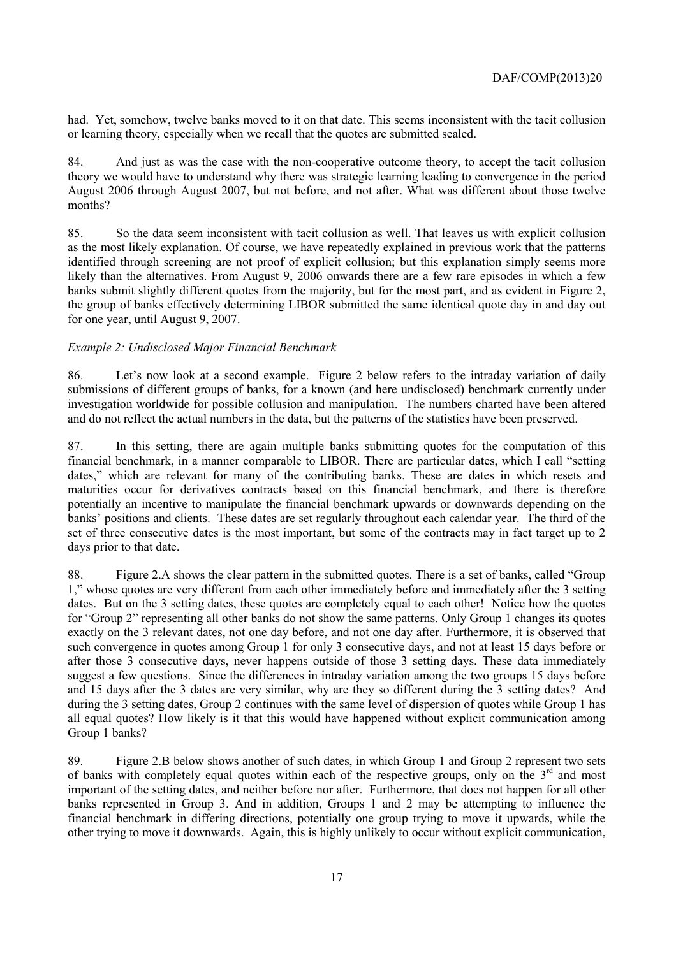had. Yet, somehow, twelve banks moved to it on that date. This seems inconsistent with the tacit collusion or learning theory, especially when we recall that the quotes are submitted sealed.

84. And just as was the case with the non-cooperative outcome theory, to accept the tacit collusion theory we would have to understand why there was strategic learning leading to convergence in the period August 2006 through August 2007, but not before, and not after. What was different about those twelve months?

85. So the data seem inconsistent with tacit collusion as well. That leaves us with explicit collusion as the most likely explanation. Of course, we have repeatedly explained in previous work that the patterns identified through screening are not proof of explicit collusion; but this explanation simply seems more likely than the alternatives. From August 9, 2006 onwards there are a few rare episodes in which a few banks submit slightly different quotes from the majority, but for the most part, and as evident in Figure 2, the group of banks effectively determining LIBOR submitted the same identical quote day in and day out for one year, until August 9, 2007.

#### *Example 2: Undisclosed Major Financial Benchmark*

86. Let's now look at a second example. Figure 2 below refers to the intraday variation of daily submissions of different groups of banks, for a known (and here undisclosed) benchmark currently under investigation worldwide for possible collusion and manipulation. The numbers charted have been altered and do not reflect the actual numbers in the data, but the patterns of the statistics have been preserved.

87. In this setting, there are again multiple banks submitting quotes for the computation of this financial benchmark, in a manner comparable to LIBOR. There are particular dates, which I call "setting dates," which are relevant for many of the contributing banks. These are dates in which resets and maturities occur for derivatives contracts based on this financial benchmark, and there is therefore potentially an incentive to manipulate the financial benchmark upwards or downwards depending on the banks' positions and clients. These dates are set regularly throughout each calendar year. The third of the set of three consecutive dates is the most important, but some of the contracts may in fact target up to 2 days prior to that date.

88. Figure 2.A shows the clear pattern in the submitted quotes. There is a set of banks, called "Group 1," whose quotes are very different from each other immediately before and immediately after the 3 setting dates. But on the 3 setting dates, these quotes are completely equal to each other! Notice how the quotes for "Group 2" representing all other banks do not show the same patterns. Only Group 1 changes its quotes exactly on the 3 relevant dates, not one day before, and not one day after. Furthermore, it is observed that such convergence in quotes among Group 1 for only 3 consecutive days, and not at least 15 days before or after those 3 consecutive days, never happens outside of those 3 setting days. These data immediately suggest a few questions. Since the differences in intraday variation among the two groups 15 days before and 15 days after the 3 dates are very similar, why are they so different during the 3 setting dates? And during the 3 setting dates, Group 2 continues with the same level of dispersion of quotes while Group 1 has all equal quotes? How likely is it that this would have happened without explicit communication among Group 1 banks?

89. Figure 2.B below shows another of such dates, in which Group 1 and Group 2 represent two sets of banks with completely equal quotes within each of the respective groups, only on the 3<sup>rd</sup> and most important of the setting dates, and neither before nor after. Furthermore, that does not happen for all other banks represented in Group 3. And in addition, Groups 1 and 2 may be attempting to influence the financial benchmark in differing directions, potentially one group trying to move it upwards, while the other trying to move it downwards. Again, this is highly unlikely to occur without explicit communication,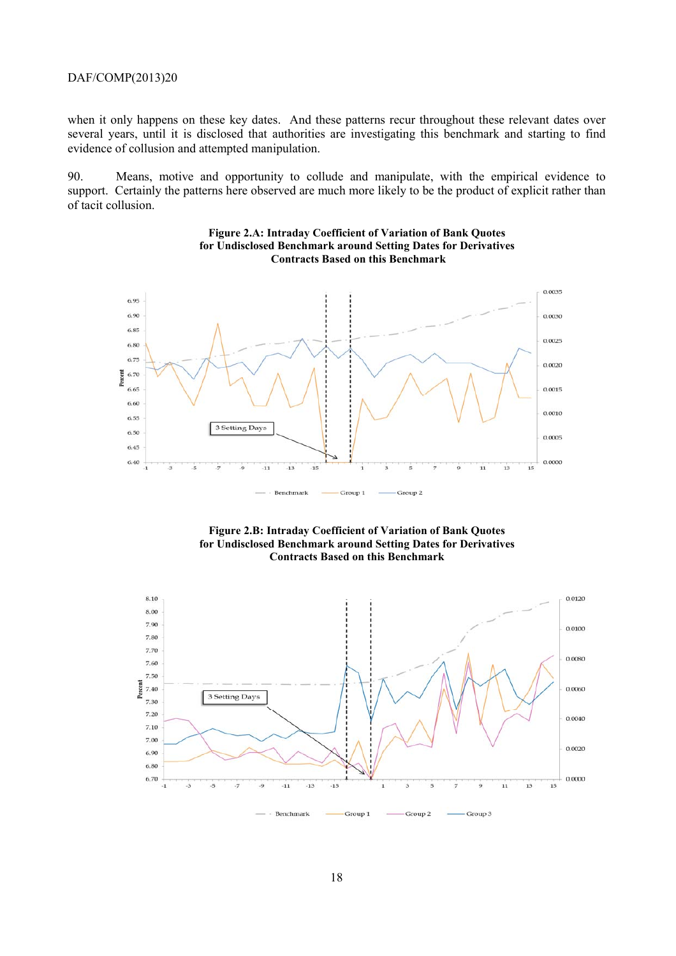when it only happens on these key dates. And these patterns recur throughout these relevant dates over several years, until it is disclosed that authorities are investigating this benchmark and starting to find evidence of collusion and attempted manipulation.

90. Means, motive and opportunity to collude and manipulate, with the empirical evidence to support. Certainly the patterns here observed are much more likely to be the product of explicit rather than of tacit collusion.





**Figure 2.B: Intraday Coefficient of Variation of Bank Quotes for Undisclosed Benchmark around Setting Dates for Derivatives Contracts Based on this Benchmark** 

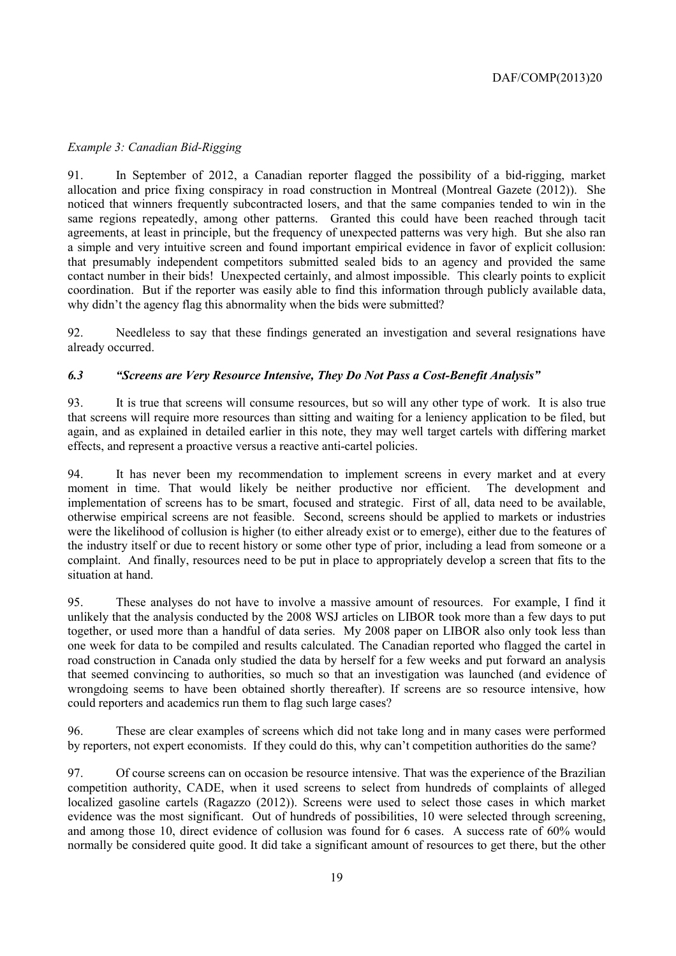## *Example 3: Canadian Bid-Rigging*

91. In September of 2012, a Canadian reporter flagged the possibility of a bid-rigging, market allocation and price fixing conspiracy in road construction in Montreal (Montreal Gazete (2012)). She noticed that winners frequently subcontracted losers, and that the same companies tended to win in the same regions repeatedly, among other patterns. Granted this could have been reached through tacit agreements, at least in principle, but the frequency of unexpected patterns was very high. But she also ran a simple and very intuitive screen and found important empirical evidence in favor of explicit collusion: that presumably independent competitors submitted sealed bids to an agency and provided the same contact number in their bids! Unexpected certainly, and almost impossible. This clearly points to explicit coordination. But if the reporter was easily able to find this information through publicly available data, why didn't the agency flag this abnormality when the bids were submitted?

92. Needleless to say that these findings generated an investigation and several resignations have already occurred.

## *6.3 "Screens are Very Resource Intensive, They Do Not Pass a Cost-Benefit Analysis"*

93. It is true that screens will consume resources, but so will any other type of work. It is also true that screens will require more resources than sitting and waiting for a leniency application to be filed, but again, and as explained in detailed earlier in this note, they may well target cartels with differing market effects, and represent a proactive versus a reactive anti-cartel policies.

94. It has never been my recommendation to implement screens in every market and at every moment in time. That would likely be neither productive nor efficient. The development and implementation of screens has to be smart, focused and strategic. First of all, data need to be available, otherwise empirical screens are not feasible. Second, screens should be applied to markets or industries were the likelihood of collusion is higher (to either already exist or to emerge), either due to the features of the industry itself or due to recent history or some other type of prior, including a lead from someone or a complaint. And finally, resources need to be put in place to appropriately develop a screen that fits to the situation at hand.

95. These analyses do not have to involve a massive amount of resources. For example, I find it unlikely that the analysis conducted by the 2008 WSJ articles on LIBOR took more than a few days to put together, or used more than a handful of data series. My 2008 paper on LIBOR also only took less than one week for data to be compiled and results calculated. The Canadian reported who flagged the cartel in road construction in Canada only studied the data by herself for a few weeks and put forward an analysis that seemed convincing to authorities, so much so that an investigation was launched (and evidence of wrongdoing seems to have been obtained shortly thereafter). If screens are so resource intensive, how could reporters and academics run them to flag such large cases?

96. These are clear examples of screens which did not take long and in many cases were performed by reporters, not expert economists. If they could do this, why can't competition authorities do the same?

97. Of course screens can on occasion be resource intensive. That was the experience of the Brazilian competition authority, CADE, when it used screens to select from hundreds of complaints of alleged localized gasoline cartels (Ragazzo (2012)). Screens were used to select those cases in which market evidence was the most significant. Out of hundreds of possibilities, 10 were selected through screening, and among those 10, direct evidence of collusion was found for 6 cases. A success rate of 60% would normally be considered quite good. It did take a significant amount of resources to get there, but the other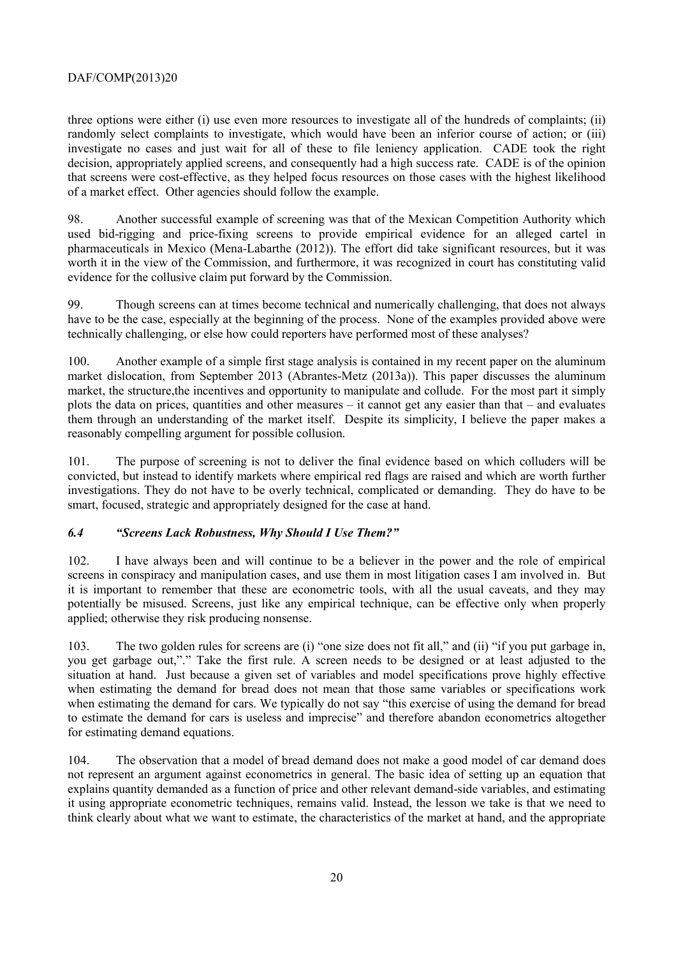three options were either (i) use even more resources to investigate all of the hundreds of complaints; (ii) randomly select complaints to investigate, which would have been an inferior course of action; or (iii) investigate no cases and just wait for all of these to file leniency application. CADE took the right decision, appropriately applied screens, and consequently had a high success rate. CADE is of the opinion that screens were cost-effective, as they helped focus resources on those cases with the highest likelihood of a market effect. Other agencies should follow the example.

98. Another successful example of screening was that of the Mexican Competition Authority which used bid-rigging and price-fixing screens to provide empirical evidence for an alleged cartel in pharmaceuticals in Mexico (Mena-Labarthe (2012)). The effort did take significant resources, but it was worth it in the view of the Commission, and furthermore, it was recognized in court has constituting valid evidence for the collusive claim put forward by the Commission.

99. Though screens can at times become technical and numerically challenging, that does not always have to be the case, especially at the beginning of the process. None of the examples provided above were technically challenging, or else how could reporters have performed most of these analyses?

100. Another example of a simple first stage analysis is contained in my recent paper on the aluminum market dislocation, from September 2013 (Abrantes-Metz (2013a)). This paper discusses the aluminum market, the structure,the incentives and opportunity to manipulate and collude. For the most part it simply plots the data on prices, quantities and other measures – it cannot get any easier than that – and evaluates them through an understanding of the market itself. Despite its simplicity, I believe the paper makes a reasonably compelling argument for possible collusion.

101. The purpose of screening is not to deliver the final evidence based on which colluders will be convicted, but instead to identify markets where empirical red flags are raised and which are worth further investigations. They do not have to be overly technical, complicated or demanding. They do have to be smart, focused, strategic and appropriately designed for the case at hand.

## *6.4 "Screens Lack Robustness, Why Should I Use Them?"*

102. I have always been and will continue to be a believer in the power and the role of empirical screens in conspiracy and manipulation cases, and use them in most litigation cases I am involved in. But it is important to remember that these are econometric tools, with all the usual caveats, and they may potentially be misused. Screens, just like any empirical technique, can be effective only when properly applied; otherwise they risk producing nonsense.

103. The two golden rules for screens are (i) "one size does not fit all," and (ii) "if you put garbage in, you get garbage out,"." Take the first rule. A screen needs to be designed or at least adjusted to the situation at hand. Just because a given set of variables and model specifications prove highly effective when estimating the demand for bread does not mean that those same variables or specifications work when estimating the demand for cars. We typically do not say "this exercise of using the demand for bread to estimate the demand for cars is useless and imprecise" and therefore abandon econometrics altogether for estimating demand equations.

104. The observation that a model of bread demand does not make a good model of car demand does not represent an argument against econometrics in general. The basic idea of setting up an equation that explains quantity demanded as a function of price and other relevant demand-side variables, and estimating it using appropriate econometric techniques, remains valid. Instead, the lesson we take is that we need to think clearly about what we want to estimate, the characteristics of the market at hand, and the appropriate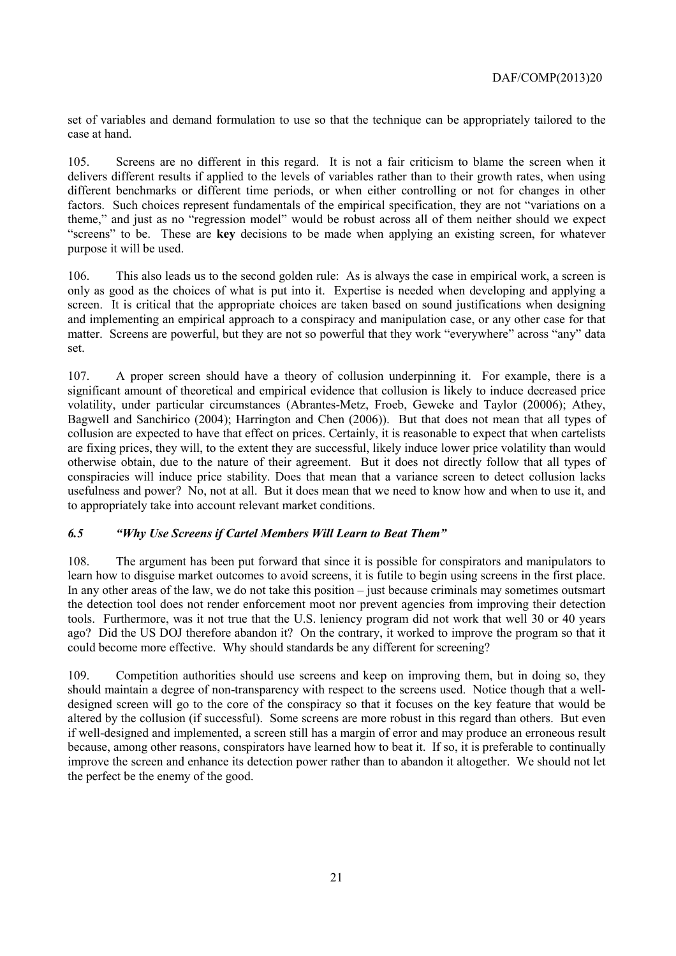set of variables and demand formulation to use so that the technique can be appropriately tailored to the case at hand.

105. Screens are no different in this regard. It is not a fair criticism to blame the screen when it delivers different results if applied to the levels of variables rather than to their growth rates, when using different benchmarks or different time periods, or when either controlling or not for changes in other factors. Such choices represent fundamentals of the empirical specification, they are not "variations on a theme," and just as no "regression model" would be robust across all of them neither should we expect "screens" to be. These are **key** decisions to be made when applying an existing screen, for whatever purpose it will be used.

106. This also leads us to the second golden rule: As is always the case in empirical work, a screen is only as good as the choices of what is put into it. Expertise is needed when developing and applying a screen. It is critical that the appropriate choices are taken based on sound justifications when designing and implementing an empirical approach to a conspiracy and manipulation case, or any other case for that matter. Screens are powerful, but they are not so powerful that they work "everywhere" across "any" data set.

107. A proper screen should have a theory of collusion underpinning it. For example, there is a significant amount of theoretical and empirical evidence that collusion is likely to induce decreased price volatility, under particular circumstances (Abrantes-Metz, Froeb, Geweke and Taylor (20006); Athey, Bagwell and Sanchirico (2004); Harrington and Chen (2006)). But that does not mean that all types of collusion are expected to have that effect on prices. Certainly, it is reasonable to expect that when cartelists are fixing prices, they will, to the extent they are successful, likely induce lower price volatility than would otherwise obtain, due to the nature of their agreement. But it does not directly follow that all types of conspiracies will induce price stability. Does that mean that a variance screen to detect collusion lacks usefulness and power? No, not at all. But it does mean that we need to know how and when to use it, and to appropriately take into account relevant market conditions.

## *6.5 "Why Use Screens if Cartel Members Will Learn to Beat Them"*

108. The argument has been put forward that since it is possible for conspirators and manipulators to learn how to disguise market outcomes to avoid screens, it is futile to begin using screens in the first place. In any other areas of the law, we do not take this position – just because criminals may sometimes outsmart the detection tool does not render enforcement moot nor prevent agencies from improving their detection tools. Furthermore, was it not true that the U.S. leniency program did not work that well 30 or 40 years ago? Did the US DOJ therefore abandon it? On the contrary, it worked to improve the program so that it could become more effective. Why should standards be any different for screening?

109. Competition authorities should use screens and keep on improving them, but in doing so, they should maintain a degree of non-transparency with respect to the screens used. Notice though that a welldesigned screen will go to the core of the conspiracy so that it focuses on the key feature that would be altered by the collusion (if successful). Some screens are more robust in this regard than others. But even if well-designed and implemented, a screen still has a margin of error and may produce an erroneous result because, among other reasons, conspirators have learned how to beat it. If so, it is preferable to continually improve the screen and enhance its detection power rather than to abandon it altogether. We should not let the perfect be the enemy of the good.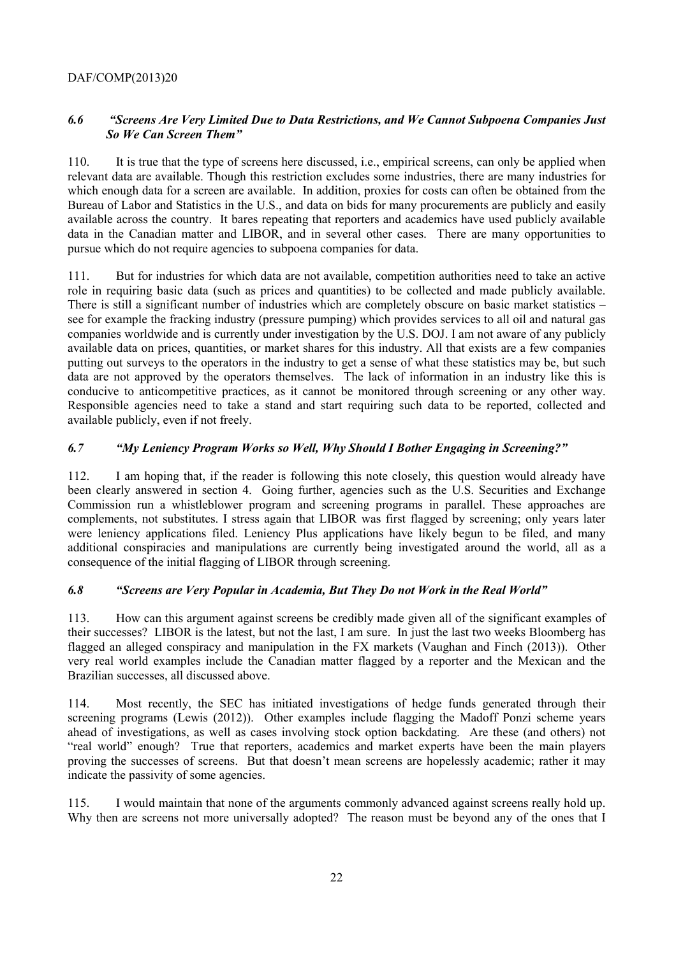## *6.6 "Screens Are Very Limited Due to Data Restrictions, and We Cannot Subpoena Companies Just So We Can Screen Them"*

110. It is true that the type of screens here discussed, i.e., empirical screens, can only be applied when relevant data are available. Though this restriction excludes some industries, there are many industries for which enough data for a screen are available. In addition, proxies for costs can often be obtained from the Bureau of Labor and Statistics in the U.S., and data on bids for many procurements are publicly and easily available across the country. It bares repeating that reporters and academics have used publicly available data in the Canadian matter and LIBOR, and in several other cases. There are many opportunities to pursue which do not require agencies to subpoena companies for data.

111. But for industries for which data are not available, competition authorities need to take an active role in requiring basic data (such as prices and quantities) to be collected and made publicly available. There is still a significant number of industries which are completely obscure on basic market statistics – see for example the fracking industry (pressure pumping) which provides services to all oil and natural gas companies worldwide and is currently under investigation by the U.S. DOJ. I am not aware of any publicly available data on prices, quantities, or market shares for this industry. All that exists are a few companies putting out surveys to the operators in the industry to get a sense of what these statistics may be, but such data are not approved by the operators themselves. The lack of information in an industry like this is conducive to anticompetitive practices, as it cannot be monitored through screening or any other way. Responsible agencies need to take a stand and start requiring such data to be reported, collected and available publicly, even if not freely.

## *6.7 "My Leniency Program Works so Well, Why Should I Bother Engaging in Screening?"*

112. I am hoping that, if the reader is following this note closely, this question would already have been clearly answered in section 4. Going further, agencies such as the U.S. Securities and Exchange Commission run a whistleblower program and screening programs in parallel. These approaches are complements, not substitutes. I stress again that LIBOR was first flagged by screening; only years later were leniency applications filed. Leniency Plus applications have likely begun to be filed, and many additional conspiracies and manipulations are currently being investigated around the world, all as a consequence of the initial flagging of LIBOR through screening.

# *6.8 "Screens are Very Popular in Academia, But They Do not Work in the Real World"*

113. How can this argument against screens be credibly made given all of the significant examples of their successes? LIBOR is the latest, but not the last, I am sure. In just the last two weeks Bloomberg has flagged an alleged conspiracy and manipulation in the FX markets (Vaughan and Finch (2013)). Other very real world examples include the Canadian matter flagged by a reporter and the Mexican and the Brazilian successes, all discussed above.

114. Most recently, the SEC has initiated investigations of hedge funds generated through their screening programs (Lewis (2012)). Other examples include flagging the Madoff Ponzi scheme years ahead of investigations, as well as cases involving stock option backdating. Are these (and others) not "real world" enough? True that reporters, academics and market experts have been the main players proving the successes of screens. But that doesn't mean screens are hopelessly academic; rather it may indicate the passivity of some agencies.

115. I would maintain that none of the arguments commonly advanced against screens really hold up. Why then are screens not more universally adopted? The reason must be beyond any of the ones that I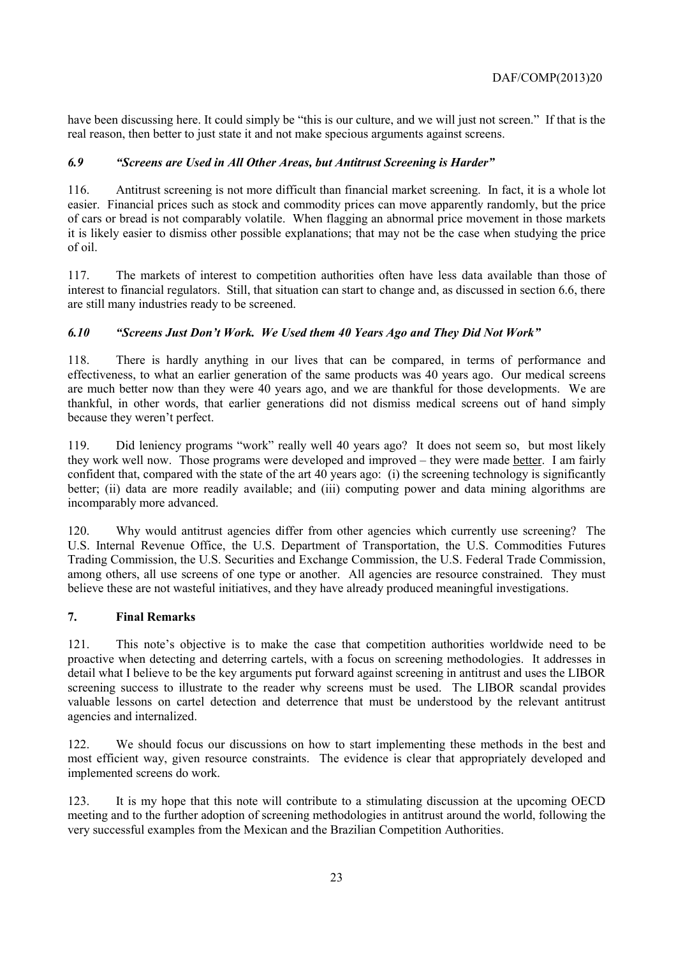have been discussing here. It could simply be "this is our culture, and we will just not screen." If that is the real reason, then better to just state it and not make specious arguments against screens.

## *6.9 "Screens are Used in All Other Areas, but Antitrust Screening is Harder"*

116. Antitrust screening is not more difficult than financial market screening. In fact, it is a whole lot easier. Financial prices such as stock and commodity prices can move apparently randomly, but the price of cars or bread is not comparably volatile. When flagging an abnormal price movement in those markets it is likely easier to dismiss other possible explanations; that may not be the case when studying the price of oil.

117. The markets of interest to competition authorities often have less data available than those of interest to financial regulators. Still, that situation can start to change and, as discussed in section 6.6, there are still many industries ready to be screened.

## *6.10 "Screens Just Don't Work. We Used them 40 Years Ago and They Did Not Work"*

118. There is hardly anything in our lives that can be compared, in terms of performance and effectiveness, to what an earlier generation of the same products was 40 years ago. Our medical screens are much better now than they were 40 years ago, and we are thankful for those developments. We are thankful, in other words, that earlier generations did not dismiss medical screens out of hand simply because they weren't perfect.

119. Did leniency programs "work" really well 40 years ago? It does not seem so, but most likely they work well now. Those programs were developed and improved – they were made better. I am fairly confident that, compared with the state of the art 40 years ago: (i) the screening technology is significantly better; (ii) data are more readily available; and (iii) computing power and data mining algorithms are incomparably more advanced.

120. Why would antitrust agencies differ from other agencies which currently use screening? The U.S. Internal Revenue Office, the U.S. Department of Transportation, the U.S. Commodities Futures Trading Commission, the U.S. Securities and Exchange Commission, the U.S. Federal Trade Commission, among others, all use screens of one type or another. All agencies are resource constrained. They must believe these are not wasteful initiatives, and they have already produced meaningful investigations.

# **7. Final Remarks**

121. This note's objective is to make the case that competition authorities worldwide need to be proactive when detecting and deterring cartels, with a focus on screening methodologies. It addresses in detail what I believe to be the key arguments put forward against screening in antitrust and uses the LIBOR screening success to illustrate to the reader why screens must be used. The LIBOR scandal provides valuable lessons on cartel detection and deterrence that must be understood by the relevant antitrust agencies and internalized.

122. We should focus our discussions on how to start implementing these methods in the best and most efficient way, given resource constraints. The evidence is clear that appropriately developed and implemented screens do work.

123. It is my hope that this note will contribute to a stimulating discussion at the upcoming OECD meeting and to the further adoption of screening methodologies in antitrust around the world, following the very successful examples from the Mexican and the Brazilian Competition Authorities.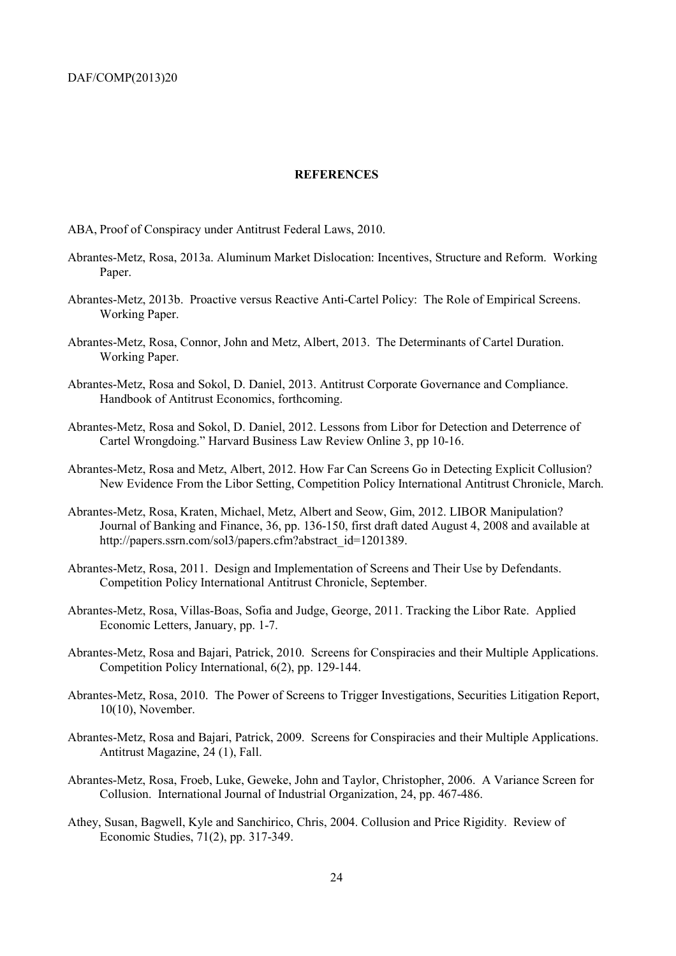#### **REFERENCES**

ABA, Proof of Conspiracy under Antitrust Federal Laws, 2010.

- Abrantes-Metz, Rosa, 2013a. Aluminum Market Dislocation: Incentives, Structure and Reform. Working Paper.
- Abrantes-Metz, 2013b. Proactive versus Reactive Anti-Cartel Policy: The Role of Empirical Screens. Working Paper.
- Abrantes-Metz, Rosa, Connor, John and Metz, Albert, 2013. The Determinants of Cartel Duration. Working Paper.
- Abrantes-Metz, Rosa and Sokol, D. Daniel, 2013. Antitrust Corporate Governance and Compliance. Handbook of Antitrust Economics, forthcoming.
- Abrantes-Metz, Rosa and Sokol, D. Daniel, 2012. Lessons from Libor for Detection and Deterrence of Cartel Wrongdoing." Harvard Business Law Review Online 3, pp 10-16.
- Abrantes-Metz, Rosa and Metz, Albert, 2012. How Far Can Screens Go in Detecting Explicit Collusion? New Evidence From the Libor Setting, Competition Policy International Antitrust Chronicle, March.
- Abrantes-Metz, Rosa, Kraten, Michael, Metz, Albert and Seow, Gim, 2012. LIBOR Manipulation? Journal of Banking and Finance, 36, pp. 136-150, first draft dated August 4, 2008 and available at http://papers.ssrn.com/sol3/papers.cfm?abstract\_id=1201389.
- Abrantes-Metz, Rosa, 2011. Design and Implementation of Screens and Their Use by Defendants. Competition Policy International Antitrust Chronicle, September.
- Abrantes-Metz, Rosa, Villas-Boas, Sofia and Judge, George, 2011. Tracking the Libor Rate. Applied Economic Letters, January, pp. 1-7.
- Abrantes-Metz, Rosa and Bajari, Patrick, 2010. Screens for Conspiracies and their Multiple Applications. Competition Policy International, 6(2), pp. 129-144.
- Abrantes-Metz, Rosa, 2010. The Power of Screens to Trigger Investigations, Securities Litigation Report, 10(10), November.
- Abrantes-Metz, Rosa and Bajari, Patrick, 2009. Screens for Conspiracies and their Multiple Applications. Antitrust Magazine, 24 (1), Fall.
- Abrantes-Metz, Rosa, Froeb, Luke, Geweke, John and Taylor, Christopher, 2006. A Variance Screen for Collusion. International Journal of Industrial Organization, 24, pp. 467-486.
- Athey, Susan, Bagwell, Kyle and Sanchirico, Chris, 2004. Collusion and Price Rigidity. Review of Economic Studies, 71(2), pp. 317-349.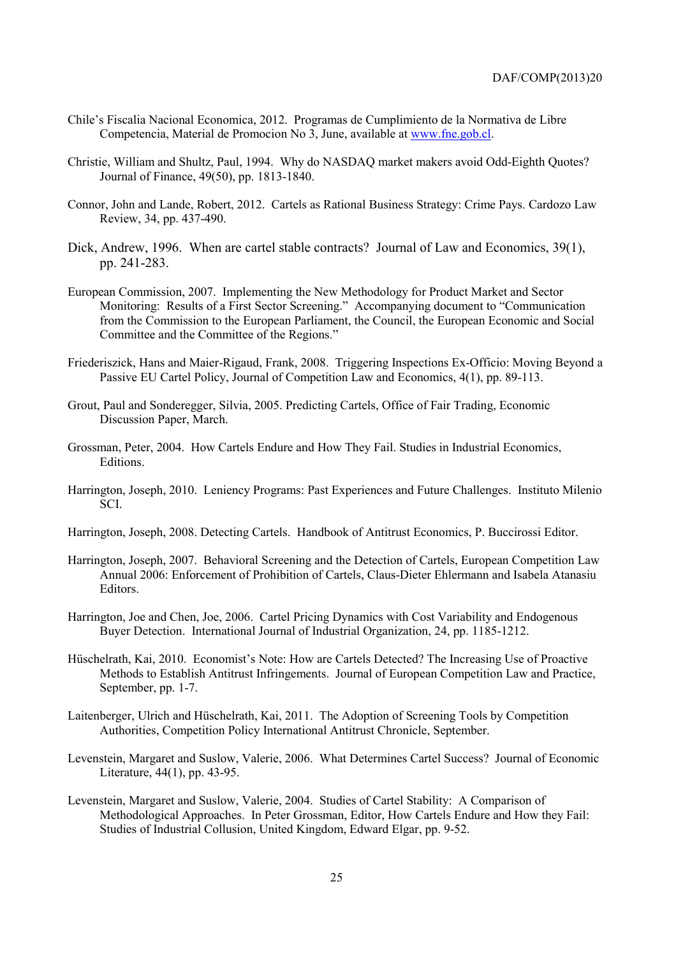- Chile's Fiscalia Nacional Economica, 2012. Programas de Cumplimiento de la Normativa de Libre Competencia, Material de Promocion No 3, June, available at www.fne.gob.cl.
- Christie, William and Shultz, Paul, 1994. Why do NASDAQ market makers avoid Odd-Eighth Quotes? Journal of Finance, 49(50), pp. 1813-1840.
- Connor, John and Lande, Robert, 2012. Cartels as Rational Business Strategy: Crime Pays. Cardozo Law Review, 34, pp. 437-490.
- Dick, Andrew, 1996. When are cartel stable contracts? Journal of Law and Economics, 39(1), pp. 241-283.
- European Commission, 2007. Implementing the New Methodology for Product Market and Sector Monitoring: Results of a First Sector Screening." Accompanying document to "Communication from the Commission to the European Parliament, the Council, the European Economic and Social Committee and the Committee of the Regions."
- Friederiszick, Hans and Maier-Rigaud, Frank, 2008. Triggering Inspections Ex-Officio: Moving Beyond a Passive EU Cartel Policy, Journal of Competition Law and Economics, 4(1), pp. 89-113.
- Grout, Paul and Sonderegger, Silvia, 2005. Predicting Cartels, Office of Fair Trading, Economic Discussion Paper, March.
- Grossman, Peter, 2004. How Cartels Endure and How They Fail. Studies in Industrial Economics, Editions.
- Harrington, Joseph, 2010. Leniency Programs: Past Experiences and Future Challenges. Instituto Milenio SCI.
- Harrington, Joseph, 2008. Detecting Cartels. Handbook of Antitrust Economics, P. Buccirossi Editor.
- Harrington, Joseph, 2007. Behavioral Screening and the Detection of Cartels, European Competition Law Annual 2006: Enforcement of Prohibition of Cartels, Claus-Dieter Ehlermann and Isabela Atanasiu Editors.
- Harrington, Joe and Chen, Joe, 2006. Cartel Pricing Dynamics with Cost Variability and Endogenous Buyer Detection. International Journal of Industrial Organization, 24, pp. 1185-1212.
- Hüschelrath, Kai, 2010. Economist's Note: How are Cartels Detected? The Increasing Use of Proactive Methods to Establish Antitrust Infringements. Journal of European Competition Law and Practice, September, pp. 1-7.
- Laitenberger, Ulrich and Hüschelrath, Kai, 2011. The Adoption of Screening Tools by Competition Authorities, Competition Policy International Antitrust Chronicle, September.
- Levenstein, Margaret and Suslow, Valerie, 2006. What Determines Cartel Success? Journal of Economic Literature, 44(1), pp. 43-95.
- Levenstein, Margaret and Suslow, Valerie, 2004. Studies of Cartel Stability: A Comparison of Methodological Approaches. In Peter Grossman, Editor, How Cartels Endure and How they Fail: Studies of Industrial Collusion, United Kingdom, Edward Elgar, pp. 9-52.